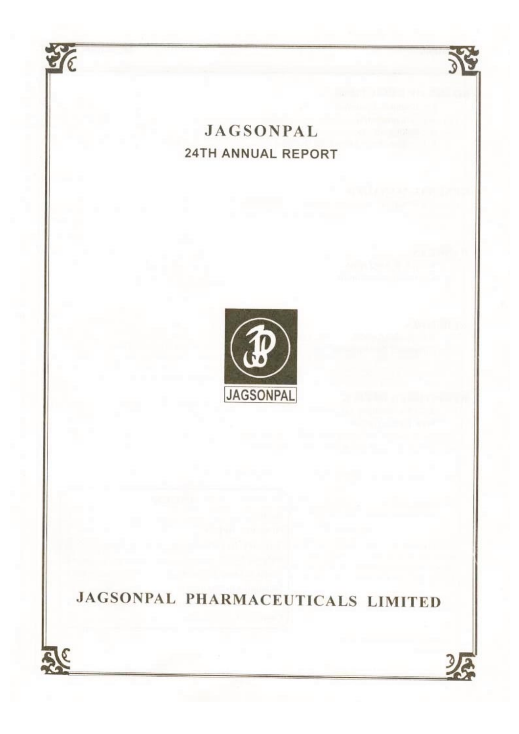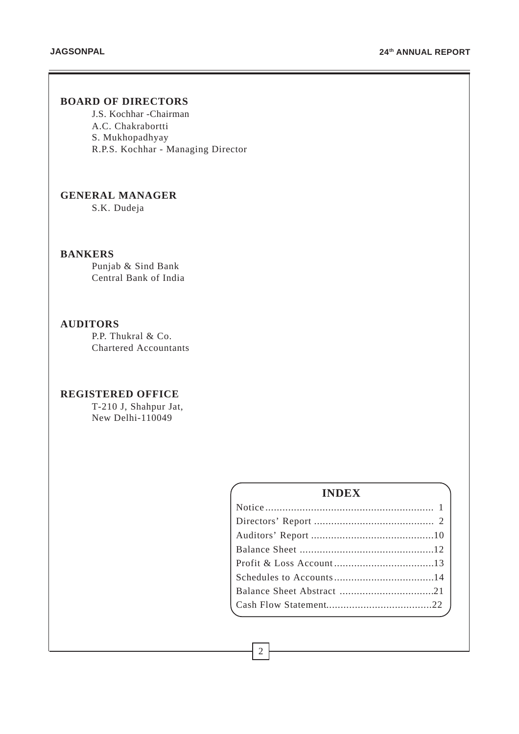# **BOARD OF DIRECTORS**

J.S. Kochhar -Chairman A.C. Chakrabortti S. Mukhopadhyay R.P.S. Kochhar - Managing Director

# **GENERAL MANAGER**

S.K. Dudeja

# **BANKERS**

Punjab & Sind Bank Central Bank of India

# **AUDITORS**

P.P. Thukral & Co. Chartered Accountants

# **REGISTERED OFFICE**

T-210 J, Shahpur Jat, New Delhi-110049

# **INDEX**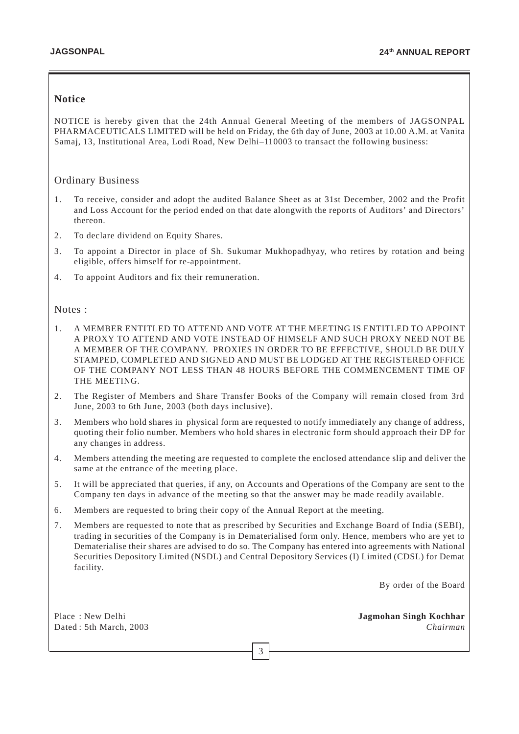## **Notice**

NOTICE is hereby given that the 24th Annual General Meeting of the members of JAGSONPAL PHARMACEUTICALS LIMITED will be held on Friday, the 6th day of June, 2003 at 10.00 A.M. at Vanita Samaj, 13, Institutional Area, Lodi Road, New Delhi–110003 to transact the following business:

## Ordinary Business

- 1. To receive, consider and adopt the audited Balance Sheet as at 31st December, 2002 and the Profit and Loss Account for the period ended on that date alongwith the reports of Auditors' and Directors' thereon.
- 2. To declare dividend on Equity Shares.
- 3. To appoint a Director in place of Sh. Sukumar Mukhopadhyay, who retires by rotation and being eligible, offers himself for re-appointment.
- 4. To appoint Auditors and fix their remuneration.

#### Notes :

- 1. A MEMBER ENTITLED TO ATTEND AND VOTE AT THE MEETING IS ENTITLED TO APPOINT A PROXY TO ATTEND AND VOTE INSTEAD OF HIMSELF AND SUCH PROXY NEED NOT BE A MEMBER OF THE COMPANY. PROXIES IN ORDER TO BE EFFECTIVE, SHOULD BE DULY STAMPED, COMPLETED AND SIGNED AND MUST BE LODGED AT THE REGISTERED OFFICE OF THE COMPANY NOT LESS THAN 48 HOURS BEFORE THE COMMENCEMENT TIME OF THE MEETING.
- 2. The Register of Members and Share Transfer Books of the Company will remain closed from 3rd June, 2003 to 6th June, 2003 (both days inclusive).
- 3. Members who hold shares in physical form are requested to notify immediately any change of address, quoting their folio number. Members who hold shares in electronic form should approach their DP for any changes in address.
- 4. Members attending the meeting are requested to complete the enclosed attendance slip and deliver the same at the entrance of the meeting place.
- 5. It will be appreciated that queries, if any, on Accounts and Operations of the Company are sent to the Company ten days in advance of the meeting so that the answer may be made readily available.
- 6. Members are requested to bring their copy of the Annual Report at the meeting.
- 7. Members are requested to note that as prescribed by Securities and Exchange Board of India (SEBI), trading in securities of the Company is in Dematerialised form only. Hence, members who are yet to Dematerialise their shares are advised to do so. The Company has entered into agreements with National Securities Depository Limited (NSDL) and Central Depository Services (I) Limited (CDSL) for Demat facility.

3

By order of the Board

Place : New Delhi **Jagmohan Singh Kochhar** Dated : 5th March, 2003 *Chairman*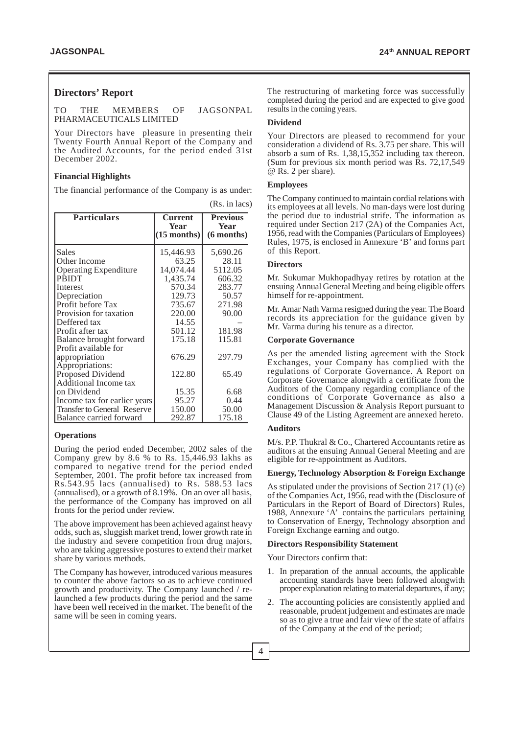#### **Directors' Report**

TO THE MEMBERS OF JAGSONPAL PHARMACEUTICALS LIMITED

Your Directors have pleasure in presenting their Twenty Fourth Annual Report of the Company and the Audited Accounts, for the period ended 31st December 2002.

#### **Financial Highlights**

The financial performance of the Company is as under:

| <b>Particulars</b>                 | <b>Current</b><br>Year | <b>Previous</b><br>Year |
|------------------------------------|------------------------|-------------------------|
|                                    | $(15$ months)          | $(6$ months)            |
| Sales                              | 15,446.93              | 5,690.26                |
| Other Income                       | 63.25                  | 28.11                   |
| <b>Operating Expenditure</b>       | 14,074.44              | 5112.05                 |
| <b>PRIDT</b>                       | 1,435.74               | 606.32                  |
| Interest                           | 570.34                 | 283.77                  |
| Depreciation                       | 129.73                 | 50.57                   |
| Profit before Tax                  | 735.67                 | 271.98                  |
| Provision for taxation             | 220.00                 | 90.00                   |
| Deffered tax                       | 14.55                  |                         |
| Profit after tax                   | 501.12                 | 181.98                  |
| Balance brought forward            | 175.18                 | 115.81                  |
| Profit available for               |                        |                         |
| appropriation                      | 676.29                 | 297.79                  |
| Appropriations:                    |                        |                         |
| Proposed Dividend                  | 122.80                 | 65.49                   |
| Additional Income tax              |                        |                         |
| on Dividend                        | 15.35                  | 6.68                    |
| Income tax for earlier years       | 95.27                  | 0.44                    |
| <b>Transfer to General Reserve</b> | 150.00                 | 50.00                   |
| Balance carried forward            | 292.87                 | 175.18                  |

#### **Operations**

During the period ended December, 2002 sales of the Company grew by 8.6 % to Rs. 15,446.93 lakhs as compared to negative trend for the period ended September, 2001. The profit before tax increased from Rs.543.95 lacs (annualised) to Rs. 588.53 lacs (annualised), or a growth of 8.19%. On an over all basis, the performance of the Company has improved on all fronts for the period under review.

The above improvement has been achieved against heavy odds, such as, sluggish market trend, lower growth rate in the industry and severe competition from drug majors, who are taking aggressive postures to extend their market share by various methods.

The Company has however, introduced various measures to counter the above factors so as to achieve continued growth and productivity. The Company launched / relaunched a few products during the period and the same have been well received in the market. The benefit of the same will be seen in coming years.

The restructuring of marketing force was successfully completed during the period and are expected to give good results in the coming years.

#### **Dividend**

Your Directors are pleased to recommend for your consideration a dividend of Rs. 3.75 per share. This will absorb a sum of Rs. 1,38,15,352 including tax thereon. (Sum for previous six month period was Rs. 72,17,549 @ Rs. 2 per share).

#### **Employees**

(Rs. in lacs)

The Company continued to maintain cordial relations with its employees at all levels. No man-days were lost during the period due to industrial strife. The information as required under Section 217 (2A) of the Companies Act, 1956, read with the Companies (Particulars of Employees) Rules, 1975, is enclosed in Annexure 'B' and forms part of this Report.

#### **Directors**

Mr. Sukumar Mukhopadhyay retires by rotation at the ensuing Annual General Meeting and being eligible offers himself for re-appointment.

Mr. Amar Nath Varma resigned during the year. The Board records its appreciation for the guidance given by Mr. Varma during his tenure as a director.

#### **Corporate Governance**

As per the amended listing agreement with the Stock Exchanges, your Company has complied with the regulations of Corporate Governance. A Report on Corporate Governance alongwith a certificate from the Auditors of the Company regarding compliance of the conditions of Corporate Governance as also a Management Discussion & Analysis Report pursuant to Clause 49 of the Listing Agreement are annexed hereto.

#### **Auditors**

M/s. P.P. Thukral & Co., Chartered Accountants retire as auditors at the ensuing Annual General Meeting and are eligible for re-appointment as Auditors.

#### **Energy, Technology Absorption & Foreign Exchange**

As stipulated under the provisions of Section 217 (1) (e) of the Companies Act, 1956, read with the (Disclosure of Particulars in the Report of Board of Directors) Rules, 1988, Annexure 'A' contains the particulars pertaining to Conservation of Energy, Technology absorption and Foreign Exchange earning and outgo.

#### **Directors Responsibility Statement**

Your Directors confirm that:

- 1. In preparation of the annual accounts, the applicable accounting standards have been followed alongwith proper explanation relating to material departures, if any;
- 2. The accounting policies are consistently applied and reasonable, prudent judgement and estimates are made so as to give a true and fair view of the state of affairs of the Company at the end of the period;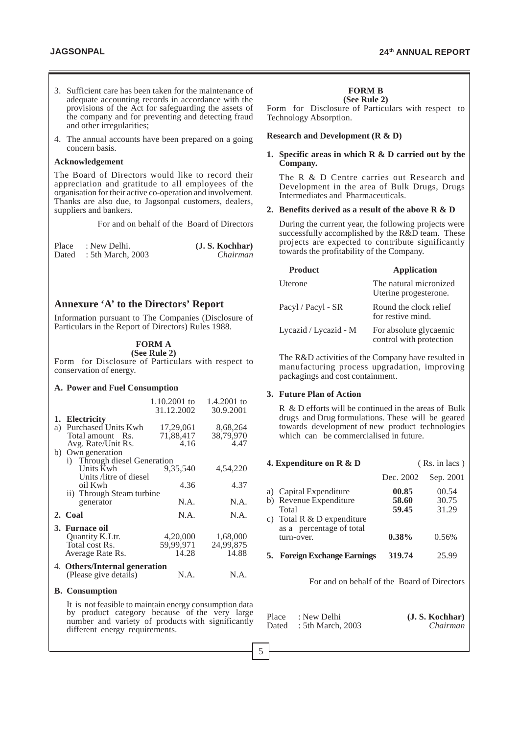- 3. Sufficient care has been taken for the maintenance of adequate accounting records in accordance with the provisions of the Act for safeguarding the assets of the company and for preventing and detecting fraud and other irregularities;
- 4. The annual accounts have been prepared on a going concern basis.

#### **Acknowledgement**

The Board of Directors would like to record their appreciation and gratitude to all employees of the organisation for their active co-operation and involvement. Thanks are also due, to Jagsonpal customers, dealers, suppliers and bankers.

For and on behalf of the Board of Directors

| Place | : New Delhi.            | (J. S. Kochhar) |
|-------|-------------------------|-----------------|
|       | Dated : 5th March, 2003 | Chairman        |

### **Annexure 'A' to the Directors' Report**

Information pursuant to The Companies (Disclosure of Particulars in the Report of Directors) Rules 1988.

#### **FORM A (See Rule 2)**

Form for Disclosure of Particulars with respect to conservation of energy.

#### **A. Power and Fuel Consumption**

|                               | 1.10.2001 to<br>31.12.2002 | 1.4.2001 to<br>30.9.2001 |
|-------------------------------|----------------------------|--------------------------|
| 1. Electricity                |                            |                          |
| a) Purchased Units Kwh        | 17,29,061                  | 8,68,264                 |
| Total amount Rs.              | 71,88,417                  | 38,79,970                |
| Avg. Rate/Unit Rs.            | 4.16                       | 4.47                     |
| Own generation<br>b)          |                            |                          |
| i) Through diesel Generation  |                            |                          |
| Units Kwh                     | 9,35,540                   | 4,54,220                 |
| Units /litre of diesel        |                            |                          |
| oil Kwh                       | 4.36                       | 4.37                     |
| ii) Through Steam turbine     |                            |                          |
| generator                     | N.A.                       | N.A.                     |
| 2. Coal                       | N.A.                       | N.A.                     |
| 3. Furnace oil                |                            |                          |
| Quantity K.Ltr.               | 4,20,000                   | 1,68,000                 |
| Total cost Rs.                | 59,99,971                  | 24,99,875                |
| Average Rate Rs.              | 14.28                      | 14.88                    |
| 4. Others/Internal generation |                            |                          |
| (Please give details)         | N.A.                       | N.A.                     |
| <b>B.</b> Consumption         |                            |                          |

It is not feasible to maintain energy consumption data by product category because of the very large number and variety of products with significantly different energy requirements.

#### **FORM B**

**(See Rule 2)** Form for Disclosure of Particulars with respect to Technology Absorption.

#### **Research and Development (R & D)**

#### **1. Specific areas in which R & D carried out by the Company.**

The R & D Centre carries out Research and Development in the area of Bulk Drugs, Drugs Intermediates and Pharmaceuticals.

#### **2. Benefits derived as a result of the above R & D**

During the current year, the following projects were successfully accomplished by the R&D team. These projects are expected to contribute significantly towards the profitability of the Company.

| <b>Product</b>        | <b>Application</b>                                |
|-----------------------|---------------------------------------------------|
| Uterone               | The natural micronized<br>Uterine progesterone.   |
| Pacyl / Pacyl - SR    | Round the clock relief<br>for restive mind.       |
| Lycazid / Lycazid - M | For absolute glycaemic<br>control with protection |

The R&D activities of the Company have resulted in manufacturing process upgradation, improving packagings and cost containment.

#### **3. Future Plan of Action**

R & D efforts will be continued in the areas of Bulk drugs and Drug formulations. These will be geared towards development of new product technologies which can be commercialised in future.

|    | 4. Expenditure on R & D                                                                                                        |                                     | (Rs. in lacs)                    |  |  |
|----|--------------------------------------------------------------------------------------------------------------------------------|-------------------------------------|----------------------------------|--|--|
|    |                                                                                                                                | Dec. 2002                           | Sep. 2001                        |  |  |
| C) | a) Capital Expenditure<br>b) Revenue Expenditure<br>Total<br>Total R & D expenditure<br>as a percentage of total<br>turn-over. | 00.85<br>58.60<br>59.45<br>$0.38\%$ | 00.54<br>30.75<br>31.29<br>0.56% |  |  |
|    | <b>5. Foreign Exchange Earnings</b>                                                                                            | 319.74                              | 25.99                            |  |  |

For and on behalf of the Board of Directors

| Place | : New Delhi             | (J. S. Kochhar) |
|-------|-------------------------|-----------------|
|       | Dated : 5th March, 2003 | Chairman        |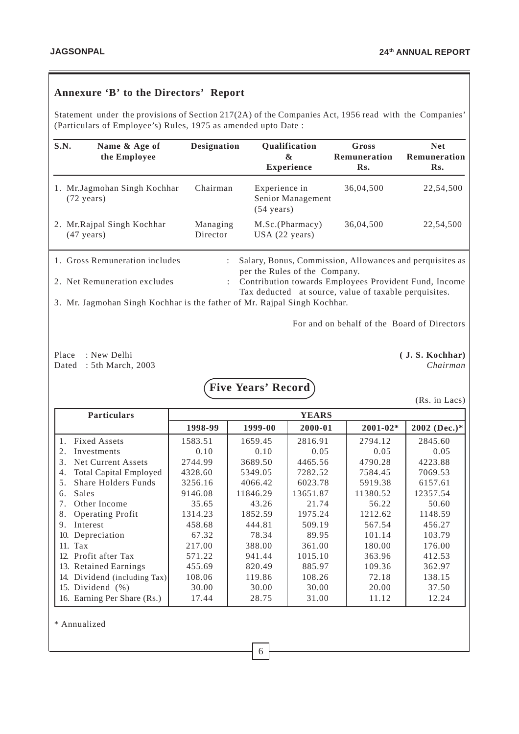# **Annexure 'B' to the Directors' Report**

Statement under the provisions of Section 217(2A) of the Companies Act, 1956 read with the Companies' (Particulars of Employee's) Rules, 1975 as amended upto Date :

| S.N. | Name & Age of<br>the Employee                       | <b>Designation</b>   | Qualification<br>&<br><b>Experience</b>                    | Gross<br>Remuneration<br>Rs. | <b>Net</b><br>Remuneration<br>Rs. |
|------|-----------------------------------------------------|----------------------|------------------------------------------------------------|------------------------------|-----------------------------------|
| 1.   | Mr. Jagmohan Singh Kochhar<br>$(72 \text{ years})$  | Chairman             | Experience in<br>Senior Management<br>$(54 \text{ years})$ | 36,04,500                    | 22,54,500                         |
|      | 2. Mr. Rajpal Singh Kochhar<br>$(47 \text{ years})$ | Managing<br>Director | M.Sc.(Pharmacy)<br>USA (22 years)                          | 36,04,500                    | 22,54,500                         |

| 1. Gross Remuneration includes | : Salary, Bonus, Commission, Allowances and perquisites as |
|--------------------------------|------------------------------------------------------------|
|                                | per the Rules of the Company.                              |
| 2. Net Remuneration excludes   | : Contribution towards Employees Provident Fund, Income    |
|                                | Tax deducted at source, value of taxable perquisites.      |

3. Mr. Jagmohan Singh Kochhar is the father of Mr. Rajpal Singh Kochhar.

For and on behalf of the Board of Directors

Place : New Delhi **( J. S. Kochhar)** Dated : 5th March, 2003 *Chairman*

**Five Years' Record**

(Rs. in Lacs)

| <b>Particulars</b>                               | <b>YEARS</b> |          |          |              |              |
|--------------------------------------------------|--------------|----------|----------|--------------|--------------|
|                                                  | 1998-99      | 1999-00  | 2000-01  | $2001 - 02*$ | 2002 (Dec.)* |
| <b>Fixed Assets</b><br>1.                        | 1583.51      | 1659.45  | 2816.91  | 2794.12      | 2845.60      |
| Investments<br>2.                                | 0.10         | 0.10     | 0.05     | 0.05         | 0.05         |
| Net Current Assets<br>3.                         | 2744.99      | 3689.50  | 4465.56  | 4790.28      | 4223.88      |
| <b>Total Capital Employed</b><br>4.              | 4328.60      | 5349.05  | 7282.52  | 7584.45      | 7069.53      |
| <b>Share Holders Funds</b><br>$5^{\circ}$        | 3256.16      | 4066.42  | 6023.78  | 5919.38      | 6157.61      |
| Sales<br>6.                                      | 9146.08      | 11846.29 | 13651.87 | 11380.52     | 12357.54     |
| Other Income<br>$7_{\scriptscriptstyle{\ddots}}$ | 35.65        | 43.26    | 21.74    | 56.22        | 50.60        |
| <b>Operating Profit</b><br>8.                    | 1314.23      | 1852.59  | 1975.24  | 1212.62      | 1148.59      |
| Interest<br>9.                                   | 458.68       | 444.81   | 509.19   | 567.54       | 456.27       |
| 10. Depreciation                                 | 67.32        | 78.34    | 89.95    | 101.14       | 103.79       |
| 11. Tax                                          | 217.00       | 388.00   | 361.00   | 180.00       | 176.00       |
| 12. Profit after Tax                             | 571.22       | 941.44   | 1015.10  | 363.96       | 412.53       |
| 13. Retained Earnings                            | 455.69       | 820.49   | 885.97   | 109.36       | 362.97       |
| Dividend (including Tax)<br>14.                  | 108.06       | 119.86   | 108.26   | 72.18        | 138.15       |
| 15. Dividend $(\%)$                              | 30.00        | 30.00    | 30.00    | 20.00        | 37.50        |
| 16. Earning Per Share (Rs.)                      | 17.44        | 28.75    | 31.00    | 11.12        | 12.24        |

\* Annualized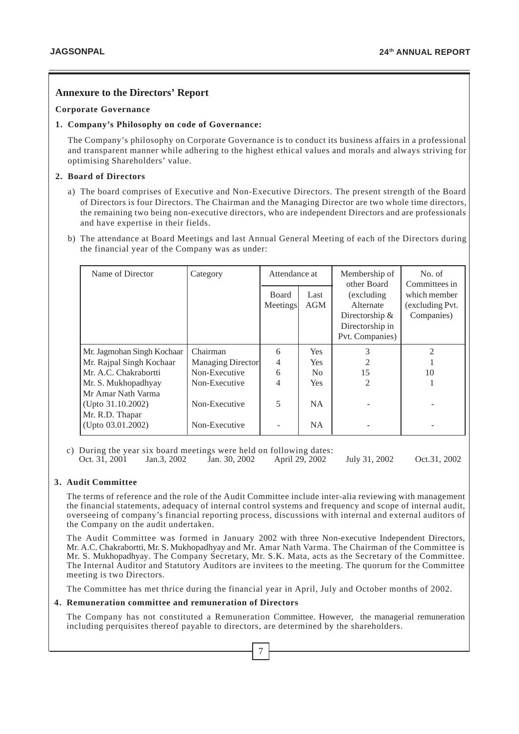## **Annexure to the Directors' Report**

#### **Corporate Governance**

#### **1. Company's Philosophy on code of Governance:**

The Company's philosophy on Corporate Governance is to conduct its business affairs in a professional and transparent manner while adhering to the highest ethical values and morals and always striving for optimising Shareholders' value.

#### **2. Board of Directors**

- a) The board comprises of Executive and Non-Executive Directors. The present strength of the Board of Directors is four Directors. The Chairman and the Managing Director are two whole time directors, the remaining two being non-executive directors, who are independent Directors and are professionals and have expertise in their fields.
- b) The attendance at Board Meetings and last Annual General Meeting of each of the Directors during the financial year of the Company was as under:

| Name of Director           | Category          | Attendance at  |                | Membership of<br>other Board | No. of<br>Committees in |
|----------------------------|-------------------|----------------|----------------|------------------------------|-------------------------|
|                            |                   | <b>Board</b>   | Last           | (excluding)                  | which member            |
|                            |                   | Meetings       | AGM            | Alternate                    | (excluding Pvt.         |
|                            |                   |                |                | Directorship $&$             | Companies)              |
|                            |                   |                |                | Directorship in              |                         |
|                            |                   |                |                | Pvt. Companies)              |                         |
| Mr. Jagmohan Singh Kochaar | Chairman          | 6              | <b>Yes</b>     | 3                            | $\mathfrak{D}$          |
| Mr. Rajpal Singh Kochaar   | Managing Director | $\overline{4}$ | <b>Yes</b>     |                              |                         |
| Mr. A.C. Chakrabortti      | Non-Executive     | 6              | N <sub>0</sub> | 15                           | 10                      |
| Mr. S. Mukhopadhyay        | Non-Executive     | 4              | <b>Yes</b>     | $\mathfrak{D}$               |                         |
| Mr Amar Nath Varma         |                   |                |                |                              |                         |
| (Upto 31.10.2002)          | Non-Executive     | 5              | NA.            |                              |                         |
| Mr. R.D. Thapar            |                   |                |                |                              |                         |
| (Upto 03.01.2002)          | Non-Executive     |                | <b>NA</b>      |                              |                         |

c) During the year six board meetings were held on following dates:<br>Oct. 31, 2001 Jan.3, 2002 Jan. 30, 2002 April 29, 2002 Oct. 31, 2001 Jan.3, 2002 Jan. 30, 2002 April 29, 2002 July 31, 2002 Oct.31, 2002

#### **3. Audit Committee**

The terms of reference and the role of the Audit Committee include inter-alia reviewing with management the financial statements, adequacy of internal control systems and frequency and scope of internal audit, overseeing of company's financial reporting process, discussions with internal and external auditors of the Company on the audit undertaken.

The Audit Committee was formed in January 2002 with three Non-executive Independent Directors, Mr. A.C. Chakrabortti, Mr. S. Mukhopadhyay and Mr. Amar Nath Varma. The Chairman of the Committee is Mr. S. Mukhopadhyay. The Company Secretary, Mr. S.K. Mata, acts as the Secretary of the Committee. The Internal Auditor and Statutory Auditors are invitees to the meeting. The quorum for the Committee meeting is two Directors.

The Committee has met thrice during the financial year in April, July and October months of 2002.

#### **4. Remuneration committee and remuneration of Directors**

The Company has not constituted a Remuneration Committee. However, the managerial remuneration including perquisites thereof payable to directors, are determined by the shareholders.

7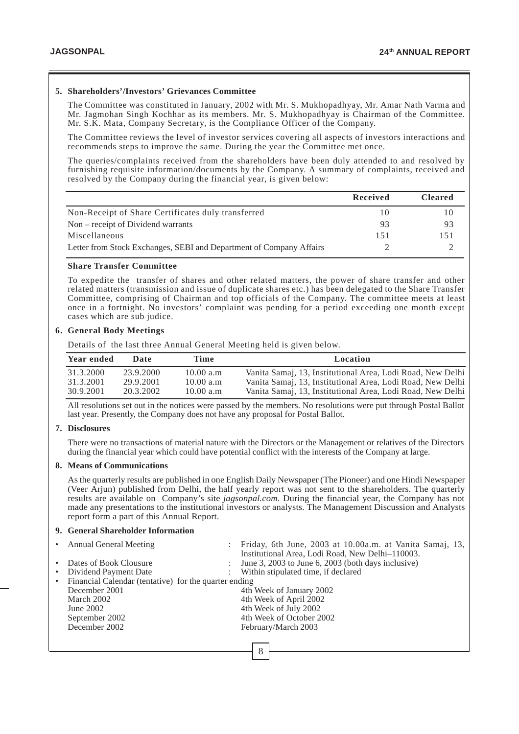#### **5. Shareholders'/Investors' Grievances Committee**

The Committee was constituted in January, 2002 with Mr. S. Mukhopadhyay, Mr. Amar Nath Varma and Mr. Jagmohan Singh Kochhar as its members. Mr. S. Mukhopadhyay is Chairman of the Committee. Mr. S.K. Mata, Company Secretary, is the Compliance Officer of the Company.

The Committee reviews the level of investor services covering all aspects of investors interactions and recommends steps to improve the same. During the year the Committee met once.

The queries/complaints received from the shareholders have been duly attended to and resolved by furnishing requisite information/documents by the Company. A summary of complaints, received and resolved by the Company during the financial year, is given below:

|                                                                     | Received | <b>Cleared</b> |
|---------------------------------------------------------------------|----------|----------------|
| Non-Receipt of Share Certificates duly transferred                  | 10       | 10             |
| Non – receipt of Dividend warrants                                  | 93       | 93             |
| Miscellaneous                                                       | 151      | 151            |
| Letter from Stock Exchanges, SEBI and Department of Company Affairs |          |                |

#### **Share Transfer Committee**

To expedite the transfer of shares and other related matters, the power of share transfer and other related matters (transmission and issue of duplicate shares etc.) has been delegated to the Share Transfer Committee, comprising of Chairman and top officials of the Company. The committee meets at least once in a fortnight. No investors' complaint was pending for a period exceeding one month except cases which are sub judice.

#### **6. General Body Meetings**

Details of the last three Annual General Meeting held is given below.

| Year ended | Date      | Time      | Location                                                   |
|------------|-----------|-----------|------------------------------------------------------------|
| 31.3.2000  | 23.9.2000 | 10.00 a.m | Vanita Samaj, 13, Institutional Area, Lodi Road, New Delhi |
| 31.3.2001  | 29.9.2001 | 10.00 a.m | Vanita Samaj, 13, Institutional Area, Lodi Road, New Delhi |
| 30.9.2001  | 20.3.2002 | 10.00 a.m | Vanita Samaj, 13, Institutional Area, Lodi Road, New Delhi |

All resolutions set out in the notices were passed by the members. No resolutions were put through Postal Ballot last year. Presently, the Company does not have any proposal for Postal Ballot.

#### **7. Disclosures**

There were no transactions of material nature with the Directors or the Management or relatives of the Directors during the financial year which could have potential conflict with the interests of the Company at large.

#### **8. Means of Communications**

As the quarterly results are published in one English Daily Newspaper (The Pioneer) and one Hindi Newspaper (Veer Arjun) published from Delhi, the half yearly report was not sent to the shareholders. The quarterly results are available on Company's site *jagsonpal.com*. During the financial year, the Company has not made any presentations to the institutional investors or analysts. The Management Discussion and Analysts report form a part of this Annual Report.

#### **9. General Shareholder Information**

| • Annual General Meeting                                | : Friday, 6th June, 2003 at 10.00a.m. at Vanita Samaj, 13, |
|---------------------------------------------------------|------------------------------------------------------------|
|                                                         | Institutional Area, Lodi Road, New Delhi-110003.           |
| • Dates of Book Clousure                                | June 3, 2003 to June 6, 2003 (both days inclusive)         |
| • Dividend Payment Date                                 | Within stipulated time, if declared                        |
| • Financial Calendar (tentative) for the quarter ending |                                                            |
| December 2001                                           | 4th Week of January 2002                                   |
| March 2002                                              | 4th Week of April 2002                                     |
| June $2002$                                             | 4th Week of July 2002                                      |
| September 2002                                          | 4th Week of October 2002                                   |
| December 2002                                           | February/March 2003                                        |
|                                                         |                                                            |
|                                                         |                                                            |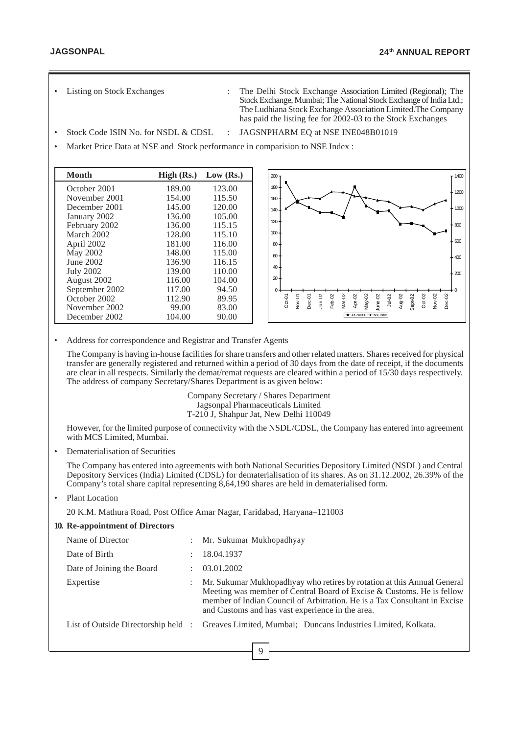- 
- Listing on Stock Exchanges : The Delhi Stock Exchange Association Limited (Regional); The Stock Exchange, Mumbai; The National Stock Exchange of India Ltd.; The Ludhiana Stock Exchange Association Limited.The Company has paid the listing fee for 2002-03 to the Stock Exchanges
- Stock Code ISIN No. for NSDL & CDSL : JAGSNPHARM EQ at NSE INE048B01019
- Market Price Data at NSE and Stock performance in comparision to NSE Index :

| Month            | High (Rs.) | Low $(Rs.)$ |
|------------------|------------|-------------|
| October 2001     | 189.00     | 123.00      |
| November 2001    | 154.00     | 115.50      |
| December 2001    | 145.00     | 120.00      |
| January 2002     | 136.00     | 105.00      |
| February 2002    | 136.00     | 115.15      |
| March 2002       | 128.00     | 115.10      |
| April 2002       | 181.00     | 116.00      |
| May 2002         | 148.00     | 115.00      |
| June 2002        | 136.90     | 116.15      |
| <b>July 2002</b> | 139.00     | 110.00      |
| August 2002      | 116.00     | 104.00      |
| September 2002   | 117.00     | 94.50       |
| October 2002     | 112.90     | 89.95       |
| November 2002    | 99.00      | 83.00       |
| December 2002    | 104.00     | 90.00       |



• Address for correspondence and Registrar and Transfer Agents

The Company is having in-house facilities for share transfers and other related matters. Shares received for physical transfer are generally registered and returned within a period of 30 days from the date of receipt, if the documents are clear in all respects. Similarly the demat/remat requests are cleared within a period of 15/30 days respectively. The address of company Secretary/Shares Department is as given below:

> Company Secretary / Shares Department Jagsonpal Pharmaceuticals Limited T-210 J, Shahpur Jat, New Delhi 110049

However, for the limited purpose of connectivity with the NSDL/CDSL, the Company has entered into agreement with MCS Limited, Mumbai.

• Dematerialisation of Securities

The Company has entered into agreements with both National Securities Depository Limited (NSDL) and Central Depository Services (India) Limited (CDSL) for dematerialisation of its shares. As on 31.12.2002, 26.39% of the Company's total share capital representing 8,64,190 shares are held in dematerialised form.

Plant Location

20 K.M. Mathura Road, Post Office Amar Nagar, Faridabad, Haryana–121003

| 10. Re-appointment of Directors    |                           |                                                                                                                                                                                                                                                                                   |
|------------------------------------|---------------------------|-----------------------------------------------------------------------------------------------------------------------------------------------------------------------------------------------------------------------------------------------------------------------------------|
| Name of Director                   | $\mathbb{Z}^{\mathbb{Z}}$ | Mr. Sukumar Mukhopadhyay                                                                                                                                                                                                                                                          |
| Date of Birth                      |                           | 18.04.1937                                                                                                                                                                                                                                                                        |
| Date of Joining the Board          |                           | 03.01.2002                                                                                                                                                                                                                                                                        |
| Expertise                          |                           | Mr. Sukumar Mukhopadhyay who retires by rotation at this Annual General<br>Meeting was member of Central Board of Excise & Customs. He is fellow<br>member of Indian Council of Arbitration. He is a Tax Consultant in Excise<br>and Customs and has vast experience in the area. |
| List of Outside Directorship held: |                           | Greaves Limited, Mumbai: Duncans Industries Limited, Kolkata.                                                                                                                                                                                                                     |
|                                    |                           |                                                                                                                                                                                                                                                                                   |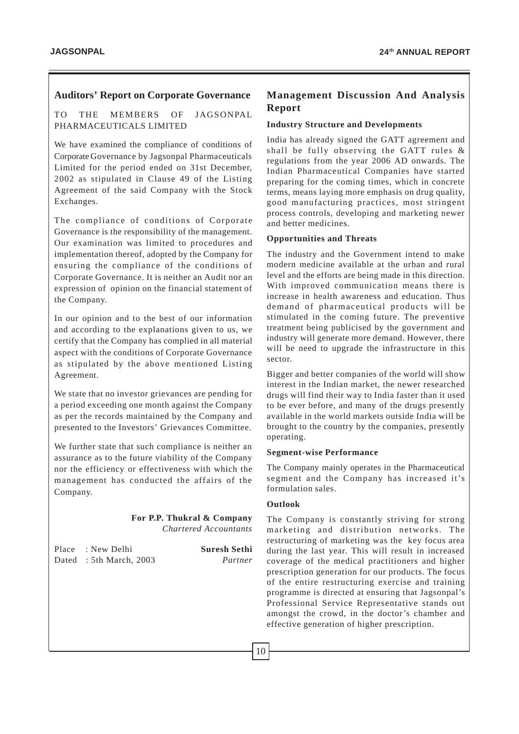## **Auditors' Report on Corporate Governance**

TO THE MEMBERS OF JAGSONPAL PHARMACEUTICALS LIMITED

We have examined the compliance of conditions of Corporate Governance by Jagsonpal Pharmaceuticals Limited for the period ended on 31st December, 2002 as stipulated in Clause 49 of the Listing Agreement of the said Company with the Stock Exchanges.

The compliance of conditions of Corporate Governance is the responsibility of the management. Our examination was limited to procedures and implementation thereof, adopted by the Company for ensuring the compliance of the conditions of Corporate Governance. It is neither an Audit nor an expression of opinion on the financial statement of the Company.

In our opinion and to the best of our information and according to the explanations given to us, we certify that the Company has complied in all material aspect with the conditions of Corporate Governance as stipulated by the above mentioned Listing Agreement.

We state that no investor grievances are pending for a period exceeding one month against the Company as per the records maintained by the Company and presented to the Investors' Grievances Committee.

We further state that such compliance is neither an assurance as to the future viability of the Company nor the efficiency or effectiveness with which the management has conducted the affairs of the Company.

#### **For P.P. Thukral & Company** *Chartered Accountants*

| Place : New Delhi      | <b>Suresh Sethi</b> |
|------------------------|---------------------|
| Dated: 5th March, 2003 | Partner             |

# **Management Discussion And Analysis Report**

# **Industry Structure and Developments**

India has already signed the GATT agreement and shall be fully observing the GATT rules & regulations from the year 2006 AD onwards. The Indian Pharmaceutical Companies have started preparing for the coming times, which in concrete terms, means laying more emphasis on drug quality, good manufacturing practices, most stringent process controls, developing and marketing newer and better medicines.

# **Opportunities and Threats**

The industry and the Government intend to make modern medicine available at the urban and rural level and the efforts are being made in this direction. With improved communication means there is increase in health awareness and education. Thus demand of pharmaceutical products will be stimulated in the coming future. The preventive treatment being publicised by the government and industry will generate more demand. However, there will be need to upgrade the infrastructure in this sector.

Bigger and better companies of the world will show interest in the Indian market, the newer researched drugs will find their way to India faster than it used to be ever before, and many of the drugs presently available in the world markets outside India will be brought to the country by the companies, presently operating.

# **Segment-wise Performance**

The Company mainly operates in the Pharmaceutical segment and the Company has increased it's formulation sales.

# **Outlook**

The Company is constantly striving for strong marketing and distribution networks. The restructuring of marketing was the key focus area during the last year. This will result in increased coverage of the medical practitioners and higher prescription generation for our products. The focus of the entire restructuring exercise and training programme is directed at ensuring that Jagsonpal's Professional Service Representative stands out amongst the crowd, in the doctor's chamber and effective generation of higher prescription.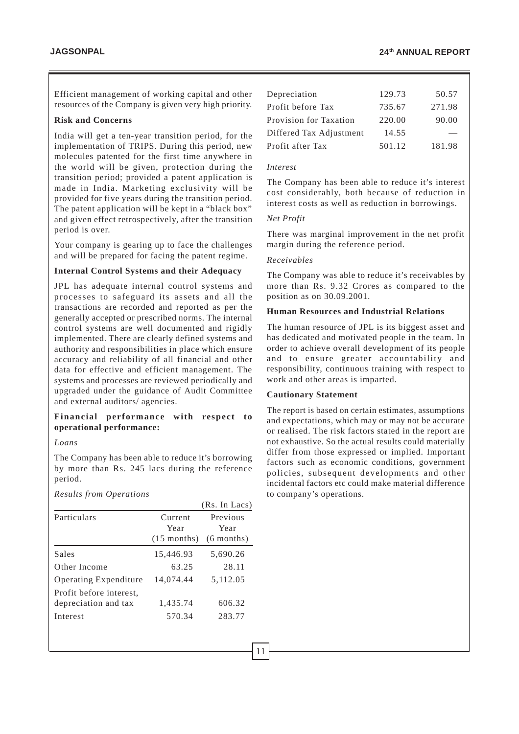Efficient management of working capital and other resources of the Company is given very high priority.

#### **Risk and Concerns**

India will get a ten-year transition period, for the implementation of TRIPS. During this period, new molecules patented for the first time anywhere in the world will be given, protection during the transition period; provided a patent application is made in India. Marketing exclusivity will be provided for five years during the transition period. The patent application will be kept in a "black box" and given effect retrospectively, after the transition period is over.

Your company is gearing up to face the challenges and will be prepared for facing the patent regime.

#### **Internal Control Systems and their Adequacy**

JPL has adequate internal control systems and processes to safeguard its assets and all the transactions are recorded and reported as per the generally accepted or prescribed norms. The internal control systems are well documented and rigidly implemented. There are clearly defined systems and authority and responsibilities in place which ensure accuracy and reliability of all financial and other data for effective and efficient management. The systems and processes are reviewed periodically and upgraded under the guidance of Audit Committee and external auditors/ agencies.

#### **Financial performance with respect to operational performance:**

*Loans*

The Company has been able to reduce it's borrowing by more than Rs. 245 lacs during the reference period.

*Results from Operations*

|                                                             |                                  | (RS. III LACS)                   |
|-------------------------------------------------------------|----------------------------------|----------------------------------|
| Particulars                                                 | Current<br>Year<br>$(15$ months) | Previous<br>Year<br>$(6$ months) |
| Sales                                                       | 15,446.93                        | 5,690.26                         |
| Other Income                                                | 63.25                            | 28.11                            |
| <b>Operating Expenditure</b>                                | 14.074.44                        | 5,112.05                         |
| Profit before interest.<br>depreciation and tax<br>Interest | 1,435.74<br>570.34               | 606.32<br>283.77                 |

| Depreciation            | 129.73 | 50.57  |
|-------------------------|--------|--------|
| Profit before Tax       | 735.67 | 271.98 |
| Provision for Taxation  | 220.00 | 90.00  |
| Differed Tax Adjustment | 14.55  |        |
| Profit after Tax        | 501.12 | 181.98 |

#### *Interest*

The Company has been able to reduce it's interest cost considerably, both because of reduction in interest costs as well as reduction in borrowings.

#### *Net Profit*

There was marginal improvement in the net profit margin during the reference period.

#### *Receivables*

The Company was able to reduce it's receivables by more than Rs. 9.32 Crores as compared to the position as on 30.09.2001.

#### **Human Resources and Industrial Relations**

The human resource of JPL is its biggest asset and has dedicated and motivated people in the team. In order to achieve overall development of its people and to ensure greater accountability and responsibility, continuous training with respect to work and other areas is imparted.

#### **Cautionary Statement**

The report is based on certain estimates, assumptions and expectations, which may or may not be accurate or realised. The risk factors stated in the report are not exhaustive. So the actual results could materially differ from those expressed or implied. Important factors such as economic conditions, government policies, subsequent developments and other incidental factors etc could make material difference to company's operations.

 $(D_x, T_y, T_z)$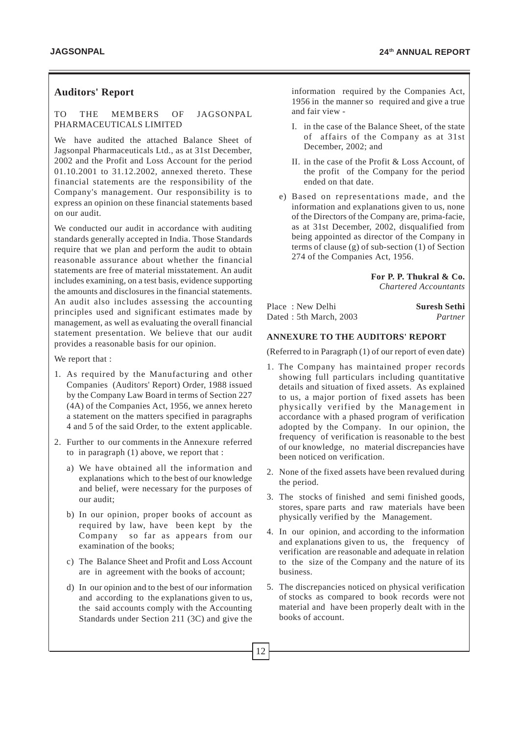# **Auditors' Report**

#### TO THE MEMBERS OF JAGSONPAL PHARMACEUTICALS LIMITED

We have audited the attached Balance Sheet of Jagsonpal Pharmaceuticals Ltd., as at 31st December, 2002 and the Profit and Loss Account for the period 01.10.2001 to 31.12.2002, annexed thereto. These financial statements are the responsibility of the Company's management. Our responsibility is to express an opinion on these financial statements based on our audit.

We conducted our audit in accordance with auditing standards generally accepted in India. Those Standards require that we plan and perform the audit to obtain reasonable assurance about whether the financial statements are free of material misstatement. An audit includes examining, on a test basis, evidence supporting the amounts and disclosures in the financial statements. An audit also includes assessing the accounting principles used and significant estimates made by management, as well as evaluating the overall financial statement presentation. We believe that our audit provides a reasonable basis for our opinion.

We report that :

- 1. As required by the Manufacturing and other Companies (Auditors' Report) Order, 1988 issued by the Company Law Board in terms of Section 227 (4A) of the Companies Act, 1956, we annex hereto a statement on the matters specified in paragraphs 4 and 5 of the said Order, to the extent applicable.
- 2. Further to our comments in the Annexure referred to in paragraph (1) above, we report that :
	- a) We have obtained all the information and explanations which to the best of our knowledge and belief, were necessary for the purposes of our audit;
	- b) In our opinion, proper books of account as required by law, have been kept by the Company so far as appears from our examination of the books;
	- c) The Balance Sheet and Profit and Loss Account are in agreement with the books of account;
	- d) In our opinion and to the best of our information and according to the explanations given to us, the said accounts comply with the Accounting Standards under Section 211 (3C) and give the

information required by the Companies Act, 1956 in the manner so required and give a true and fair view -

- I. in the case of the Balance Sheet, of the state of affairs of the Company as at 31st December, 2002; and
- II. in the case of the Profit & Loss Account, of the profit of the Company for the period ended on that date.
- e) Based on representations made, and the information and explanations given to us, none of the Directors of the Company are, prima-facie, as at 31st December, 2002, disqualified from being appointed as director of the Company in terms of clause (g) of sub-section (1) of Section 274 of the Companies Act, 1956.

**For P. P. Thukral & Co.** *Chartered Accountants*

Place: New Delhi **Suresh Sethi** Dated : 5th March, 2003 *Partner*

#### **ANNEXURE TO THE AUDITORS' REPORT**

(Referred to in Paragraph (1) of our report of even date)

- 1. The Company has maintained proper records showing full particulars including quantitative details and situation of fixed assets. As explained to us, a major portion of fixed assets has been physically verified by the Management in accordance with a phased program of verification adopted by the Company. In our opinion, the frequency of verification is reasonable to the best of our knowledge, no material discrepancies have been noticed on verification.
- 2. None of the fixed assets have been revalued during the period.
- 3. The stocks of finished and semi finished goods, stores, spare parts and raw materials have been physically verified by the Management.
- 4. In our opinion, and according to the information and explanations given to us, the frequency of verification are reasonable and adequate in relation to the size of the Company and the nature of its business.
- 5. The discrepancies noticed on physical verification of stocks as compared to book records were not material and have been properly dealt with in the books of account.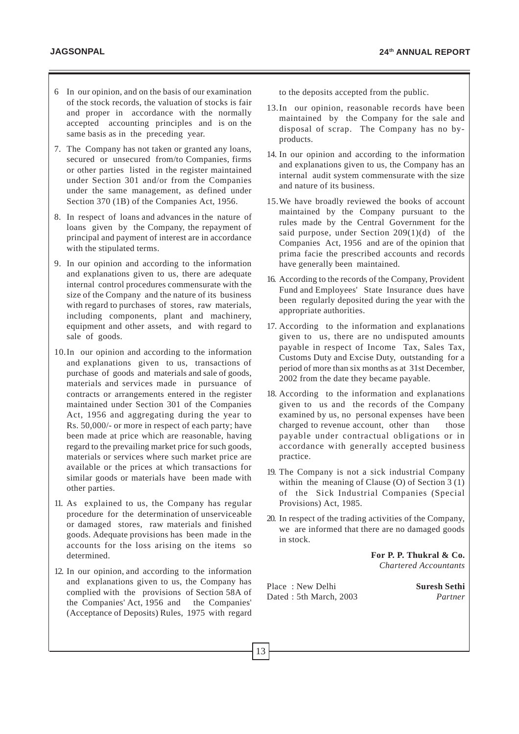- 6 In our opinion, and on the basis of our examination of the stock records, the valuation of stocks is fair and proper in accordance with the normally accepted accounting principles and is on the same basis as in the preceding year.
- 7. The Company has not taken or granted any loans, secured or unsecured from/to Companies, firms or other parties listed in the register maintained under Section 301 and/or from the Companies under the same management, as defined under Section 370 (1B) of the Companies Act, 1956.
- 8. In respect of loans and advances in the nature of loans given by the Company, the repayment of principal and payment of interest are in accordance with the stipulated terms.
- 9. In our opinion and according to the information and explanations given to us, there are adequate internal control procedures commensurate with the size of the Company and the nature of its business with regard to purchases of stores, raw materials, including components, plant and machinery, equipment and other assets, and with regard to sale of goods.
- 10.In our opinion and according to the information and explanations given to us, transactions of purchase of goods and materials and sale of goods, materials and services made in pursuance of contracts or arrangements entered in the register maintained under Section 301 of the Companies Act, 1956 and aggregating during the year to Rs. 50,000/- or more in respect of each party; have been made at price which are reasonable, having regard to the prevailing market price for such goods, materials or services where such market price are available or the prices at which transactions for similar goods or materials have been made with other parties.
- 11. As explained to us, the Company has regular procedure for the determination of unserviceable or damaged stores, raw materials and finished goods. Adequate provisions has been made in the accounts for the loss arising on the items so determined.
- 12. In our opinion, and according to the information and explanations given to us, the Company has complied with the provisions of Section 58A of the Companies' Act, 1956 and the Companies' (Acceptance of Deposits) Rules, 1975 with regard

to the deposits accepted from the public.

- 13.In our opinion, reasonable records have been maintained by the Company for the sale and disposal of scrap. The Company has no byproducts.
- 14. In our opinion and according to the information and explanations given to us, the Company has an internal audit system commensurate with the size and nature of its business.
- 15.We have broadly reviewed the books of account maintained by the Company pursuant to the rules made by the Central Government for the said purpose, under Section  $209(1)(d)$  of the Companies Act, 1956 and are of the opinion that prima facie the prescribed accounts and records have generally been maintained.
- 16. According to the records of the Company, Provident Fund and Employees' State Insurance dues have been regularly deposited during the year with the appropriate authorities.
- 17. According to the information and explanations given to us, there are no undisputed amounts payable in respect of Income Tax, Sales Tax, Customs Duty and Excise Duty, outstanding for a period of more than six months as at 31st December, 2002 from the date they became payable.
- 18. According to the information and explanations given to us and the records of the Company examined by us, no personal expenses have been charged to revenue account, other than those payable under contractual obligations or in accordance with generally accepted business practice.
- 19. The Company is not a sick industrial Company within the meaning of Clause (O) of Section 3 (1) of the Sick Industrial Companies (Special Provisions) Act, 1985.
- 20. In respect of the trading activities of the Company, we are informed that there are no damaged goods in stock.

**For P. P. Thukral & Co.**  *Chartered Accountants*

Place : New Delhi **Suresh Sethi** Dated : 5th March, 2003 *Partner*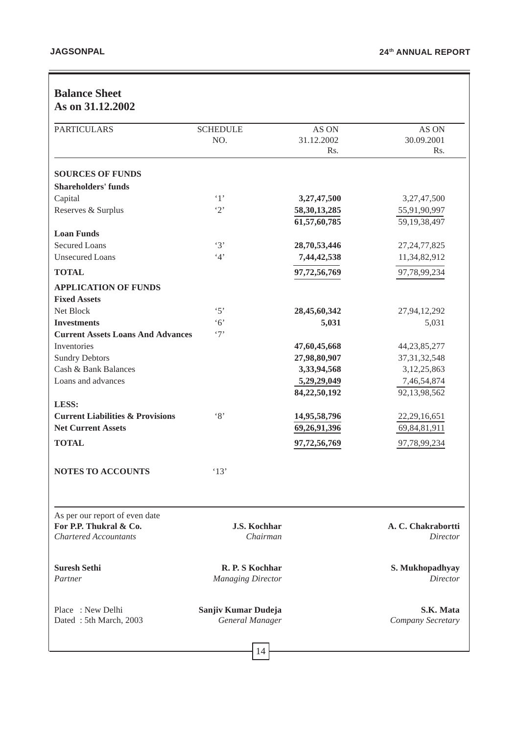# **Balance Sheet As on 31.12.2002**

| <b>PARTICULARS</b>                                       | <b>SCHEDULE</b>                 | AS ON           | AS ON                                 |
|----------------------------------------------------------|---------------------------------|-----------------|---------------------------------------|
|                                                          | NO.                             | 31.12.2002      | 30.09.2001                            |
|                                                          |                                 | Rs.             | Rs.                                   |
| <b>SOURCES OF FUNDS</b>                                  |                                 |                 |                                       |
| <b>Shareholders' funds</b>                               |                                 |                 |                                       |
| Capital                                                  | $\cdot_1$                       | 3,27,47,500     | 3,27,47,500                           |
| Reserves & Surplus                                       | $\cdot_2$                       | 58, 30, 13, 285 | 55,91,90,997                          |
|                                                          |                                 | 61,57,60,785    | 59, 19, 38, 497                       |
| <b>Loan Funds</b>                                        |                                 |                 |                                       |
| <b>Secured Loans</b>                                     | $\cdot$ 3'                      | 28,70,53,446    | 27, 24, 77, 825                       |
| <b>Unsecured Loans</b>                                   | 4'                              | 7,44,42,538     | 11,34,82,912                          |
| <b>TOTAL</b>                                             |                                 | 97,72,56,769    | 97,78,99,234                          |
| <b>APPLICATION OF FUNDS</b>                              |                                 |                 |                                       |
| <b>Fixed Assets</b>                                      |                                 |                 |                                       |
| Net Block                                                | $\cdot$ 5'                      | 28,45,60,342    | 27,94,12,292                          |
| <b>Investments</b>                                       | $\cdot$ 6'                      | 5,031           | 5,031                                 |
| <b>Current Assets Loans And Advances</b>                 | $\cdot$ 7'                      |                 |                                       |
| Inventories                                              |                                 | 47,60,45,668    | 44, 23, 85, 277                       |
| <b>Sundry Debtors</b>                                    |                                 | 27,98,80,907    | 37, 31, 32, 548                       |
| Cash & Bank Balances                                     |                                 | 3,33,94,568     | 3,12,25,863                           |
| Loans and advances                                       |                                 | 5,29,29,049     | 7,46,54,874                           |
|                                                          |                                 | 84,22,50,192    | 92,13,98,562                          |
| LESS:                                                    |                                 |                 |                                       |
| <b>Current Liabilities &amp; Provisions</b>              | $\cdot_8$                       | 14,95,58,796    | 22, 29, 16, 651                       |
| <b>Net Current Assets</b>                                |                                 | 69,26,91,396    | 69,84,81,911                          |
| <b>TOTAL</b>                                             |                                 | 97,72,56,769    | 97,78,99,234                          |
|                                                          |                                 |                 |                                       |
| <b>NOTES TO ACCOUNTS</b>                                 | '13'                            |                 |                                       |
|                                                          |                                 |                 |                                       |
| As per our report of even date<br>For P.P. Thukral & Co. |                                 |                 |                                       |
| <b>Chartered Accountants</b>                             | <b>J.S. Kochhar</b><br>Chairman |                 | A. C. Chakrabortti<br><b>Director</b> |
|                                                          |                                 |                 |                                       |
| <b>Suresh Sethi</b>                                      | R. P. S Kochhar                 |                 | S. Mukhopadhyay                       |
| Partner                                                  | <b>Managing Director</b>        |                 | <b>Director</b>                       |
| Place: New Delhi                                         | Sanjiv Kumar Dudeja             |                 | S.K. Mata                             |
| Dated: 5th March, 2003                                   | General Manager                 |                 | Company Secretary                     |
|                                                          |                                 |                 |                                       |

 $|14|$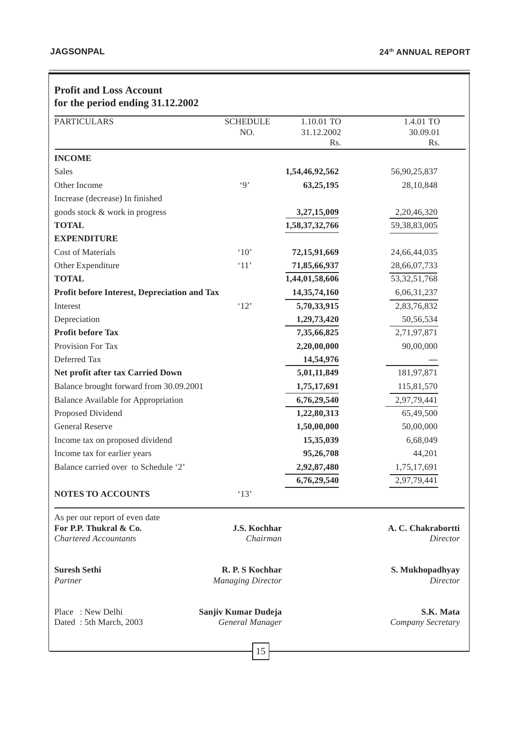| <b>Profit and Loss Account</b><br>for the period ending 31.12.2002                       |                                             |                |                                |
|------------------------------------------------------------------------------------------|---------------------------------------------|----------------|--------------------------------|
| <b>PARTICULARS</b>                                                                       | <b>SCHEDULE</b>                             | 1.10.01 TO     | 1.4.01 TO                      |
|                                                                                          | NO.                                         | 31.12.2002     | 30.09.01                       |
|                                                                                          |                                             | Rs.            | Rs.                            |
| <b>INCOME</b>                                                                            |                                             |                |                                |
| Sales                                                                                    |                                             | 1,54,46,92,562 | 56,90,25,837                   |
| Other Income                                                                             | $\cdot$ 9'                                  | 63,25,195      | 28,10,848                      |
| Increase (decrease) In finished                                                          |                                             |                |                                |
| goods stock & work in progress                                                           |                                             | 3,27,15,009    | 2,20,46,320                    |
| <b>TOTAL</b>                                                                             |                                             | 1,58,37,32,766 | 59, 38, 83, 005                |
| <b>EXPENDITURE</b>                                                                       |                                             |                |                                |
| <b>Cost of Materials</b>                                                                 | $^{\circ}10'$                               | 72,15,91,669   | 24,66,44,035                   |
| Other Expenditure                                                                        | `11'                                        | 71,85,66,937   | 28,66,07,733                   |
| <b>TOTAL</b>                                                                             |                                             | 1,44,01,58,606 | 53, 32, 51, 768                |
| Profit before Interest, Depreciation and Tax                                             |                                             | 14,35,74,160   | 6,06,31,237                    |
| Interest                                                                                 | '12'                                        | 5,70,33,915    | 2,83,76,832                    |
| Depreciation                                                                             |                                             | 1,29,73,420    | 50,56,534                      |
| <b>Profit before Tax</b>                                                                 |                                             | 7,35,66,825    | 2,71,97,871                    |
| Provision For Tax                                                                        |                                             | 2,20,00,000    | 90,00,000                      |
| Deferred Tax                                                                             |                                             | 14,54,976      |                                |
| Net profit after tax Carried Down                                                        |                                             | 5,01,11,849    | 181,97,871                     |
| Balance brought forward from 30.09.2001                                                  |                                             | 1,75,17,691    | 115,81,570                     |
| <b>Balance Available for Appropriation</b>                                               |                                             | 6,76,29,540    | 2,97,79,441                    |
| Proposed Dividend                                                                        |                                             | 1,22,80,313    | 65,49,500                      |
| <b>General Reserve</b>                                                                   |                                             | 1,50,00,000    | 50,00,000                      |
| Income tax on proposed dividend                                                          |                                             | 15,35,039      | 6,68,049                       |
| Income tax for earlier years                                                             |                                             | 95,26,708      | 44,201                         |
| Balance carried over to Schedule '2'                                                     |                                             | 2,92,87,480    | 1,75,17,691                    |
|                                                                                          |                                             | 6,76,29,540    | 2,97,79,441                    |
| <b>NOTES TO ACCOUNTS</b>                                                                 | '13'                                        |                |                                |
| As per our report of even date<br>For P.P. Thukral & Co.<br><b>Chartered Accountants</b> | <b>J.S. Kochhar</b><br>Chairman             |                | A. C. Chakrabortti<br>Director |
| <b>Suresh Sethi</b><br>Partner                                                           | R. P. S Kochhar<br><b>Managing Director</b> |                | S. Mukhopadhyay<br>Director    |
| Place: New Delhi<br>Dated: 5th March, 2003                                               | Sanjiv Kumar Dudeja<br>General Manager      |                | S.K. Mata<br>Company Secretary |
|                                                                                          | 15                                          |                |                                |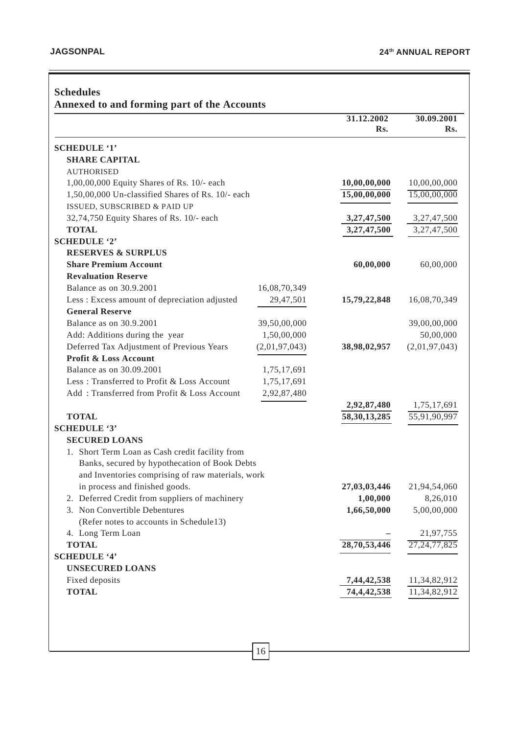|                                                   |               | 31.12.2002      | 30.09.2001      |
|---------------------------------------------------|---------------|-----------------|-----------------|
|                                                   |               | Rs.             | Rs.             |
| <b>SCHEDULE '1'</b>                               |               |                 |                 |
| <b>SHARE CAPITAL</b>                              |               |                 |                 |
| <b>AUTHORISED</b>                                 |               |                 |                 |
| 1,00,00,000 Equity Shares of Rs. 10/- each        |               | 10,00,00,000    | 10,00,00,000    |
| 1,50,00,000 Un-classified Shares of Rs. 10/- each |               | 15,00,00,000    | 15,00,00,000    |
| ISSUED, SUBSCRIBED & PAID UP                      |               |                 |                 |
| 32,74,750 Equity Shares of Rs. 10/- each          |               | 3,27,47,500     | 3,27,47,500     |
| <b>TOTAL</b>                                      |               | 3,27,47,500     | 3,27,47,500     |
| <b>SCHEDULE '2'</b>                               |               |                 |                 |
| <b>RESERVES &amp; SURPLUS</b>                     |               |                 |                 |
| <b>Share Premium Account</b>                      |               | 60,00,000       | 60,00,000       |
| <b>Revaluation Reserve</b>                        |               |                 |                 |
| Balance as on 30.9.2001                           | 16,08,70,349  |                 |                 |
| Less : Excess amount of depreciation adjusted     | 29,47,501     | 15,79,22,848    | 16,08,70,349    |
| <b>General Reserve</b>                            |               |                 |                 |
| Balance as on 30.9.2001                           | 39,50,00,000  |                 | 39,00,00,000    |
| Add: Additions during the year                    | 1,50,00,000   |                 | 50,00,000       |
| Deferred Tax Adjustment of Previous Years         | (2,01,97,043) | 38,98,02,957    | (2,01,97,043)   |
| Profit & Loss Account                             |               |                 |                 |
| Balance as on 30.09.2001                          | 1,75,17,691   |                 |                 |
| Less: Transferred to Profit & Loss Account        | 1,75,17,691   |                 |                 |
| Add: Transferred from Profit & Loss Account       | 2,92,87,480   |                 |                 |
|                                                   |               | 2,92,87,480     | 1,75,17,691     |
| <b>TOTAL</b>                                      |               | 58, 30, 13, 285 | 55,91,90,997    |
| <b>SCHEDULE '3'</b>                               |               |                 |                 |
| <b>SECURED LOANS</b>                              |               |                 |                 |
| 1. Short Term Loan as Cash credit facility from   |               |                 |                 |
| Banks, secured by hypothecation of Book Debts     |               |                 |                 |
| and Inventories comprising of raw materials, work |               |                 |                 |
| in process and finished goods.                    |               | 27,03,03,446    | 21,94,54,060    |
| 2. Deferred Credit from suppliers of machinery    |               | 1,00,000        | 8,26,010        |
| 3. Non Convertible Debentures                     |               | 1,66,50,000     | 5,00,00,000     |
| (Refer notes to accounts in Schedule13)           |               |                 |                 |
| 4. Long Term Loan                                 |               |                 | 21,97,755       |
| <b>TOTAL</b>                                      |               | 28,70,53,446    | 27, 24, 77, 825 |
| <b>SCHEDULE '4'</b>                               |               |                 |                 |
| <b>UNSECURED LOANS</b>                            |               |                 |                 |
| Fixed deposits                                    |               | 7,44,42,538     | 11,34,82,912    |
| <b>TOTAL</b>                                      |               | 74, 4, 42, 538  | 11,34,82,912    |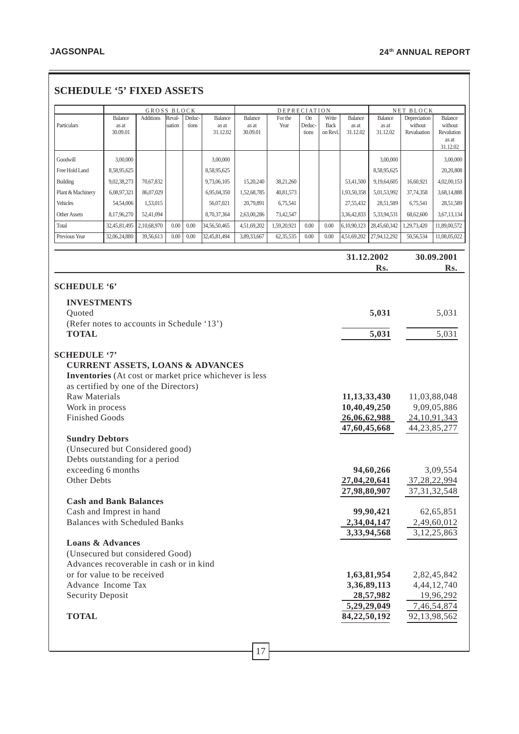| <b>SCHEDULE '5' FIXED ASSETS</b> |  |  |  |
|----------------------------------|--|--|--|
|----------------------------------|--|--|--|

|                                                                                                                                                                       |              |                                 |        |        |              | DEPRECIATION |             |           |             |                 |                             |                           |                     |
|-----------------------------------------------------------------------------------------------------------------------------------------------------------------------|--------------|---------------------------------|--------|--------|--------------|--------------|-------------|-----------|-------------|-----------------|-----------------------------|---------------------------|---------------------|
|                                                                                                                                                                       | Balance      | GROSS BLOCK<br><b>Additions</b> | Reval- | Deduc- | Balance      | Balance      | For the     | <b>On</b> | Write       | <b>Balance</b>  | <b>Balance</b>              | NET BLOCK<br>Depreciation | Balance             |
| Particulars                                                                                                                                                           | as at        |                                 | uation | tions  | as at        | as at        | Year        | Deduc-    | <b>Back</b> | as at           | as at                       | without                   | without             |
|                                                                                                                                                                       | 30.09.01     |                                 |        |        | 31.12.02     | 30.09.01     |             | tions     | on Revl.    | 31.12.02        | 31.12.02                    | Revaluation               | Revalution<br>as at |
|                                                                                                                                                                       |              |                                 |        |        |              |              |             |           |             |                 |                             |                           | 31.12.02            |
| Goodwill                                                                                                                                                              | 3,00,000     |                                 |        |        | 3,00,000     |              |             |           |             |                 | 3,00,000                    |                           | 3,00,000            |
| Free Hold Land                                                                                                                                                        | 8,58,95,625  |                                 |        |        | 8,58,95,625  |              |             |           |             |                 | 8,58,95,625                 |                           | 20,20,808           |
| <b>Building</b>                                                                                                                                                       | 9,02,38,273  | 70,67,832                       |        |        | 9,73,06,105  | 15,20,240    | 38,21,260   |           |             | 53,41,500       | 9,19,64,605                 | 16,60,921                 | 4,02,00,153         |
| Plant & Machinery                                                                                                                                                     | 6,08,97,321  | 86,07,029                       |        |        | 6,95,04,350  | 1,52,68,785  | 40,81,573   |           |             | 1,93,50,358     | 5,01,53,992                 | 37,74,358                 | 3,68,14,888         |
| Vehicles                                                                                                                                                              | 54,54,006    | 1,53,015                        |        |        | 56,07,021    | 20,79,891    | 6,75,541    |           |             | 27,55,432       | 28,51,589                   | 6,75,541                  | 28,51,589           |
| <b>Other Assets</b>                                                                                                                                                   | 8,17,96,270  | 52,41,094                       |        |        | 8,70,37,364  | 2,63,00,286  | 73,42,547   |           |             | 3,36,42,833     | 5,33,94,531                 | 68,62,600                 | 3,67,13,134         |
| Total                                                                                                                                                                 | 32,45,81,495 | 2,10,68,970                     | 0.00   | 0.00   | 34,56,50,465 | 4,51,69,202  | 1,59,20,921 | 0.00      | 0.00        | 6,10,90,123     | 28,45,60,342                | 1,29,73,420               | 11,89,00,572        |
| Previous Year                                                                                                                                                         | 32,06,24,880 | 39,56,613                       | 0.00   | 0.00   | 32,45,81,494 | 3,89,33,667  | 62,35,535   | 0.00      | 0.00        | 4,51,69,202     | 27,94,12,292                | 50,56,534                 | 11,08,05,022        |
|                                                                                                                                                                       |              |                                 |        |        |              |              |             |           |             |                 |                             |                           |                     |
|                                                                                                                                                                       |              |                                 |        |        |              |              |             |           |             | 31.12.2002      |                             |                           | 30.09.2001          |
|                                                                                                                                                                       |              |                                 |        |        |              |              |             |           |             |                 | Rs.                         |                           | Rs.                 |
|                                                                                                                                                                       |              |                                 |        |        |              |              |             |           |             |                 |                             |                           |                     |
| <b>SCHEDULE '6'</b>                                                                                                                                                   |              |                                 |        |        |              |              |             |           |             |                 |                             |                           |                     |
| <b>INVESTMENTS</b>                                                                                                                                                    |              |                                 |        |        |              |              |             |           |             |                 |                             |                           |                     |
| Quoted                                                                                                                                                                |              |                                 |        |        |              |              |             |           |             |                 | 5,031                       |                           | 5,031               |
| (Refer notes to accounts in Schedule '13')<br><b>TOTAL</b>                                                                                                            |              |                                 |        |        |              |              |             |           |             |                 | 5,031                       |                           | 5,031               |
|                                                                                                                                                                       |              |                                 |        |        |              |              |             |           |             |                 |                             |                           |                     |
| <b>SCHEDULE '7'</b><br><b>CURRENT ASSETS, LOANS &amp; ADVANCES</b><br>Inventories (At cost or market price whichever is less<br>as certified by one of the Directors) |              |                                 |        |        |              |              |             |           |             |                 |                             |                           |                     |
| <b>Raw Materials</b>                                                                                                                                                  |              |                                 |        |        |              |              |             |           |             | 11, 13, 33, 430 |                             |                           | 11,03,88,048        |
| Work in process                                                                                                                                                       |              |                                 |        |        |              |              |             |           |             |                 | 10,40,49,250<br>9,09,05,886 |                           |                     |
| <b>Finished Goods</b>                                                                                                                                                 |              |                                 |        |        |              |              |             |           |             | 26,06,62,988    |                             |                           | 24, 10, 91, 343     |
|                                                                                                                                                                       |              |                                 |        |        |              |              |             |           |             | 47,60,45,668    |                             |                           | 44, 23, 85, 277     |
| <b>Sundry Debtors</b><br>(Unsecured but Considered good)                                                                                                              |              |                                 |        |        |              |              |             |           |             |                 |                             |                           |                     |
| Debts outstanding for a period                                                                                                                                        |              |                                 |        |        |              |              |             |           |             |                 |                             |                           |                     |
| exceeding 6 months                                                                                                                                                    |              |                                 |        |        |              |              |             |           |             |                 | 94,60,266                   |                           | 3,09,554            |
| Other Debts                                                                                                                                                           |              |                                 |        |        |              |              |             |           |             | 27,04,20,641    |                             | 37,28,22,994              |                     |
|                                                                                                                                                                       |              |                                 |        |        |              |              |             |           |             | 27,98,80,907    |                             |                           | 37, 31, 32, 548     |
| <b>Cash and Bank Balances</b>                                                                                                                                         |              |                                 |        |        |              |              |             |           |             |                 |                             |                           |                     |
| Cash and Imprest in hand                                                                                                                                              |              |                                 |        |        |              |              |             |           |             |                 | 99,90,421                   |                           | 62,65,851           |
| <b>Balances with Scheduled Banks</b>                                                                                                                                  |              |                                 |        |        |              |              |             |           |             |                 | 2,34,04,147                 |                           | 2,49,60,012         |
|                                                                                                                                                                       |              |                                 |        |        |              |              |             |           |             |                 | 3,33,94,568                 |                           | 3, 12, 25, 863      |
| <b>Loans &amp; Advances</b>                                                                                                                                           |              |                                 |        |        |              |              |             |           |             |                 |                             |                           |                     |
| (Unsecured but considered Good)                                                                                                                                       |              |                                 |        |        |              |              |             |           |             |                 |                             |                           |                     |
| Advances recoverable in cash or in kind                                                                                                                               |              |                                 |        |        |              |              |             |           |             |                 |                             |                           |                     |
| or for value to be received                                                                                                                                           |              |                                 |        |        |              |              |             |           |             |                 | 1,63,81,954                 |                           | 2,82,45,842         |
| Advance Income Tax                                                                                                                                                    |              |                                 |        |        |              |              |             |           |             |                 | 3,36,89,113                 |                           | 4,44,12,740         |
| <b>Security Deposit</b>                                                                                                                                               |              |                                 |        |        |              |              |             |           |             |                 | 28,57,982                   |                           | 19,96,292           |
|                                                                                                                                                                       |              |                                 |        |        |              |              |             |           |             |                 | 5,29,29,049                 |                           | 7,46,54,874         |
| <b>TOTAL</b>                                                                                                                                                          |              |                                 |        |        |              |              |             |           |             | 84,22,50,192    |                             |                           | 92,13,98,562        |
|                                                                                                                                                                       |              |                                 |        |        |              |              |             |           |             |                 |                             |                           |                     |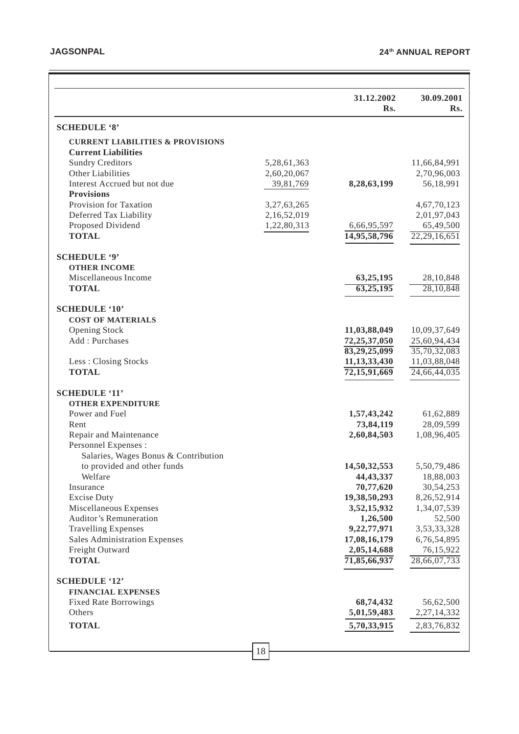|                                                         |             | 31.12.2002<br>Rs.       | 30.09.2001<br>Rs.     |
|---------------------------------------------------------|-------------|-------------------------|-----------------------|
| <b>SCHEDULE '8'</b>                                     |             |                         |                       |
| <b>CURRENT LIABILITIES &amp; PROVISIONS</b>             |             |                         |                       |
| <b>Current Liabilities</b>                              |             |                         |                       |
| <b>Sundry Creditors</b>                                 | 5,28,61,363 |                         | 11,66,84,991          |
| Other Liabilities                                       | 2,60,20,067 |                         | 2,70,96,003           |
| Interest Accrued but not due                            | 39,81,769   | 8,28,63,199             | 56,18,991             |
| <b>Provisions</b>                                       |             |                         |                       |
| Provision for Taxation                                  | 3,27,63,265 |                         | 4,67,70,123           |
| Deferred Tax Liability                                  | 2,16,52,019 |                         | 2,01,97,043           |
| Proposed Dividend                                       | 1,22,80,313 | 6,66,95,597             | 65,49,500             |
| <b>TOTAL</b>                                            |             | 14,95,58,796            | 22,29,16,651          |
| <b>SCHEDULE '9'</b>                                     |             |                         |                       |
| <b>OTHER INCOME</b>                                     |             |                         |                       |
| Miscellaneous Income                                    |             | 63,25,195               | 28,10,848             |
| <b>TOTAL</b>                                            |             | 63,25,195               | 28,10,848             |
| <b>SCHEDULE '10'</b>                                    |             |                         |                       |
| <b>COST OF MATERIALS</b>                                |             |                         |                       |
| <b>Opening Stock</b>                                    |             | 11,03,88,049            | 10,09,37,649          |
| Add: Purchases                                          |             | 72,25,37,050            | 25,60,94,434          |
|                                                         |             | 83,29,25,099            | 35,70,32,083          |
| Less: Closing Stocks                                    |             | 11, 13, 33, 430         | 11,03,88,048          |
| <b>TOTAL</b>                                            |             | 72, 15, 91, 669         | 24,66,44,035          |
| <b>SCHEDULE '11'</b>                                    |             |                         |                       |
| <b>OTHER EXPENDITURE</b>                                |             |                         |                       |
| Power and Fuel                                          |             | 1,57,43,242             | 61,62,889             |
| Rent                                                    |             | 73,84,119               | 28,09,599             |
| Repair and Maintenance                                  |             | 2,60,84,503             | 1,08,96,405           |
| Personnel Expenses :                                    |             |                         |                       |
| Salaries, Wages Bonus & Contribution                    |             |                         |                       |
| to provided and other funds                             |             | 14,50,32,553            | 5,50,79,486           |
| Welfare                                                 |             | 44, 43, 337             | 18,88,003             |
| Insurance                                               |             | 70,77,620               | 30,54,253             |
| <b>Excise Duty</b>                                      |             | 19,38,50,293            | 8,26,52,914           |
| Miscellaneous Expenses<br><b>Auditor's Remuneration</b> |             | 3,52,15,932             | 1,34,07,539           |
| <b>Travelling Expenses</b>                              |             | 1,26,500<br>9,22,77,971 | 52,500<br>3,53,33,328 |
| <b>Sales Administration Expenses</b>                    |             | 17,08,16,179            | 6,76,54,895           |
| Freight Outward                                         |             | 2,05,14,688             | 76,15,922             |
| <b>TOTAL</b>                                            |             | 71,85,66,937            | 28,66,07,733          |
|                                                         |             |                         |                       |
| <b>SCHEDULE '12'</b><br><b>FINANCIAL EXPENSES</b>       |             |                         |                       |
| <b>Fixed Rate Borrowings</b>                            |             | 68,74,432               | 56,62,500             |
| Others                                                  |             | 5,01,59,483             | 2,27,14,332           |
| <b>TOTAL</b>                                            |             | 5,70,33,915             | 2,83,76,832           |
|                                                         |             |                         |                       |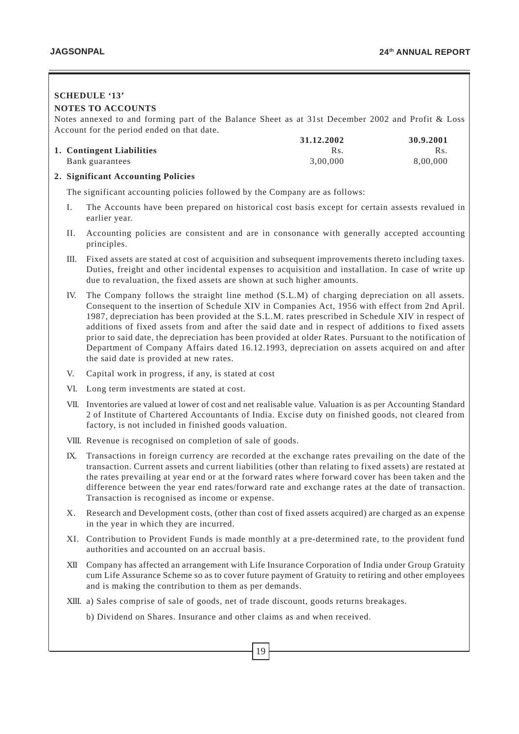# 19 **SCHEDULE '13' NOTES TO ACCOUNTS** Notes annexed to and forming part of the Balance Sheet as at 31st December 2002 and Profit & Loss Account for the period ended on that date. **31.12.2002 30.9.2001 1. Contingent Liabilities** Rs. Rs. Rs. Rs. Rs. Rs. Bank guarantees 3,00,000 8,00,000 8,00,000 8,00,000 8,00,000 8,00,000 8,00,000 8,00,000 8,00,000 8,00,000 8,00 **2. Significant Accounting Policies** The significant accounting policies followed by the Company are as follows: I. The Accounts have been prepared on historical cost basis except for certain assests revalued in earlier year. II. Accounting policies are consistent and are in consonance with generally accepted accounting principles. III. Fixed assets are stated at cost of acquisition and subsequent improvements thereto including taxes. Duties, freight and other incidental expenses to acquisition and installation. In case of write up due to revaluation, the fixed assets are shown at such higher amounts. IV. The Company follows the straight line method (S.L.M) of charging depreciation on all assets. Consequent to the insertion of Schedule XIV in Companies Act, 1956 with effect from 2nd April. 1987, depreciation has been provided at the S.L.M. rates prescribed in Schedule XIV in respect of additions of fixed assets from and after the said date and in respect of additions to fixed assets prior to said date, the depreciation has been provided at older Rates. Pursuant to the notification of Department of Company Affairs dated 16.12.1993, depreciation on assets acquired on and after the said date is provided at new rates. V. Capital work in progress, if any, is stated at cost VI. Long term investments are stated at cost. VII. Inventories are valued at lower of cost and net realisable value. Valuation is as per Accounting Standard 2 of Institute of Chartered Accountants of India. Excise duty on finished goods, not cleared from factory, is not included in finished goods valuation. VIII. Revenue is recognised on completion of sale of goods. IX. Transactions in foreign currency are recorded at the exchange rates prevailing on the date of the transaction. Current assets and current liabilities (other than relating to fixed assets) are restated at the rates prevailing at year end or at the forward rates where forward cover has been taken and the difference between the year end rates/forward rate and exchange rates at the date of transaction. Transaction is recognised as income or expense. X. Research and Development costs, (other than cost of fixed assets acquired) are charged as an expense in the year in which they are incurred. XI. Contribution to Provident Funds is made monthly at a pre-determined rate, to the provident fund authorities and accounted on an accrual basis. XII Company has affected an arrangement with Life Insurance Corporation of India under Group Gratuity cum Life Assurance Scheme so as to cover future payment of Gratuity to retiring and other employees and is making the contribution to them as per demands. XIII. a) Sales comprise of sale of goods, net of trade discount, goods returns breakages. b) Dividend on Shares. Insurance and other claims as and when received.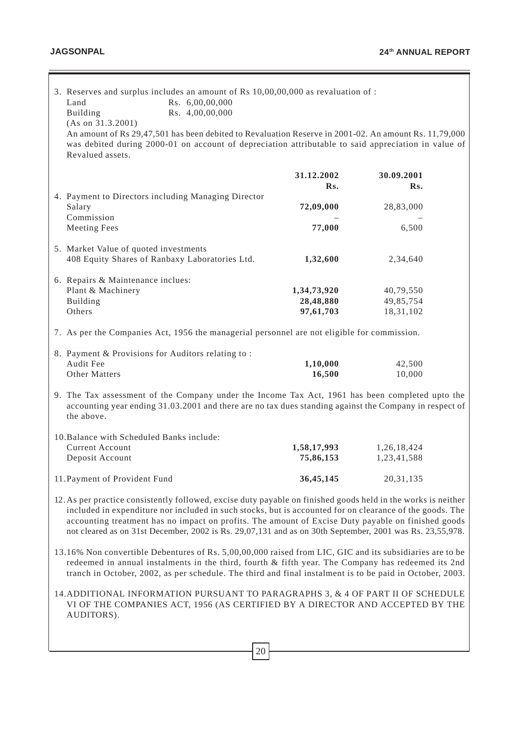|                                                                                                                                                                                                                                                                                                                                                                                                                                             | 3. Reserves and surplus includes an amount of Rs 10,00,00,000 as revaluation of :<br>Rs. 6,00,00,000<br>Land<br>Rs. 4,00,00,000<br>Building<br>(As on 31.3.2001)<br>An amount of Rs 29,47,501 has been debited to Revaluation Reserve in 2001-02. An amount Rs. 11,79,000<br>was debited during 2000-01 on account of depreciation attributable to said appreciation in value of<br>Revalued assets. |                          |                            |  |  |
|---------------------------------------------------------------------------------------------------------------------------------------------------------------------------------------------------------------------------------------------------------------------------------------------------------------------------------------------------------------------------------------------------------------------------------------------|------------------------------------------------------------------------------------------------------------------------------------------------------------------------------------------------------------------------------------------------------------------------------------------------------------------------------------------------------------------------------------------------------|--------------------------|----------------------------|--|--|
|                                                                                                                                                                                                                                                                                                                                                                                                                                             |                                                                                                                                                                                                                                                                                                                                                                                                      | 31.12.2002<br>Rs.        | 30.09.2001<br>Rs.          |  |  |
|                                                                                                                                                                                                                                                                                                                                                                                                                                             | 4. Payment to Directors including Managing Director<br>Salary<br>Commission                                                                                                                                                                                                                                                                                                                          | 72,09,000                | 28,83,000                  |  |  |
|                                                                                                                                                                                                                                                                                                                                                                                                                                             | <b>Meeting Fees</b>                                                                                                                                                                                                                                                                                                                                                                                  | 77,000                   | 6,500                      |  |  |
|                                                                                                                                                                                                                                                                                                                                                                                                                                             | 5. Market Value of quoted investments<br>408 Equity Shares of Ranbaxy Laboratories Ltd.                                                                                                                                                                                                                                                                                                              | 1,32,600                 | 2,34,640                   |  |  |
|                                                                                                                                                                                                                                                                                                                                                                                                                                             | 6. Repairs & Maintenance inclues:                                                                                                                                                                                                                                                                                                                                                                    |                          |                            |  |  |
|                                                                                                                                                                                                                                                                                                                                                                                                                                             | Plant & Machinery<br>Building                                                                                                                                                                                                                                                                                                                                                                        | 1,34,73,920<br>28,48,880 | 40,79,550<br>49,85,754     |  |  |
|                                                                                                                                                                                                                                                                                                                                                                                                                                             | Others                                                                                                                                                                                                                                                                                                                                                                                               | 97,61,703                | 18,31,102                  |  |  |
|                                                                                                                                                                                                                                                                                                                                                                                                                                             | 7. As per the Companies Act, 1956 the managerial personnel are not eligible for commission.                                                                                                                                                                                                                                                                                                          |                          |                            |  |  |
|                                                                                                                                                                                                                                                                                                                                                                                                                                             | 8. Payment & Provisions for Auditors relating to:                                                                                                                                                                                                                                                                                                                                                    |                          |                            |  |  |
|                                                                                                                                                                                                                                                                                                                                                                                                                                             | Audit Fee<br>Other Matters                                                                                                                                                                                                                                                                                                                                                                           | 1,10,000<br>16,500       | 42,500<br>10,000           |  |  |
|                                                                                                                                                                                                                                                                                                                                                                                                                                             | 9. The Tax assessment of the Company under the Income Tax Act, 1961 has been completed upto the<br>accounting year ending 31.03.2001 and there are no tax dues standing against the Company in respect of<br>the above.                                                                                                                                                                              |                          |                            |  |  |
|                                                                                                                                                                                                                                                                                                                                                                                                                                             | 10. Balance with Scheduled Banks include:                                                                                                                                                                                                                                                                                                                                                            |                          |                            |  |  |
|                                                                                                                                                                                                                                                                                                                                                                                                                                             | <b>Current Account</b><br>Deposit Account                                                                                                                                                                                                                                                                                                                                                            | 1,58,17,993<br>75,86,153 | 1,26,18,424<br>1,23,41,588 |  |  |
|                                                                                                                                                                                                                                                                                                                                                                                                                                             | 11. Payment of Provident Fund                                                                                                                                                                                                                                                                                                                                                                        | 36,45,145                | 20, 31, 135                |  |  |
| 12. As per practice consistently followed, excise duty payable on finished goods held in the works is neither<br>included in expenditure nor included in such stocks, but is accounted for on clearance of the goods. The<br>accounting treatment has no impact on profits. The amount of Excise Duty payable on finished goods<br>not cleared as on 31st December, 2002 is Rs. 29,07,131 and as on 30th September, 2001 was Rs. 23,55,978. |                                                                                                                                                                                                                                                                                                                                                                                                      |                          |                            |  |  |
| 13.16% Non convertible Debentures of Rs. 5,00,00,000 raised from LIC, GIC and its subsidiaries are to be<br>redeemed in annual instalments in the third, fourth & fifth year. The Company has redeemed its 2nd<br>tranch in October, 2002, as per schedule. The third and final instalment is to be paid in October, 2003.                                                                                                                  |                                                                                                                                                                                                                                                                                                                                                                                                      |                          |                            |  |  |
|                                                                                                                                                                                                                                                                                                                                                                                                                                             | 14. ADDITIONAL INFORMATION PURSUANT TO PARAGRAPHS 3, & 4 OF PART II OF SCHEDULE<br>VI OF THE COMPANIES ACT, 1956 (AS CERTIFIED BY A DIRECTOR AND ACCEPTED BY THE<br>AUDITORS).                                                                                                                                                                                                                       |                          |                            |  |  |
|                                                                                                                                                                                                                                                                                                                                                                                                                                             |                                                                                                                                                                                                                                                                                                                                                                                                      |                          |                            |  |  |
|                                                                                                                                                                                                                                                                                                                                                                                                                                             | 20                                                                                                                                                                                                                                                                                                                                                                                                   |                          |                            |  |  |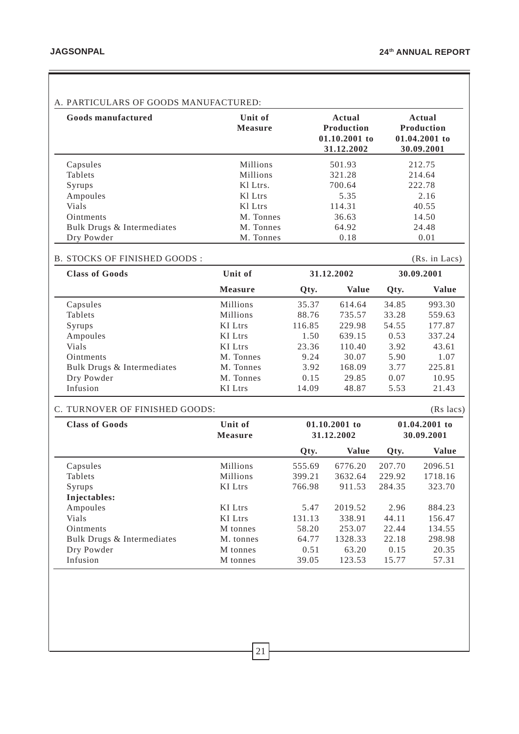## A. PARTICULARS OF GOODS MANUFACTURED:

| Goods manufactured         | Unit of<br><b>Measure</b> | Actual<br><b>Production</b><br>$01.10.2001$ to<br>31.12.2002 | Actual<br><b>Production</b><br>$01.04.2001$ to<br>30.09.2001 |
|----------------------------|---------------------------|--------------------------------------------------------------|--------------------------------------------------------------|
| Capsules                   | Millions                  | 501.93                                                       | 212.75                                                       |
| <b>Tablets</b>             | <b>Millions</b>           | 321.28                                                       | 214.64                                                       |
| Syrups                     | KI Ltrs.                  | 700.64                                                       | 222.78                                                       |
| Ampoules                   | K1 Ltrs                   | 5.35                                                         | 2.16                                                         |
| <b>Vials</b>               | Kl Ltrs                   | 114.31                                                       | 40.55                                                        |
| <b>Ointments</b>           | M. Tonnes                 | 36.63                                                        | 14.50                                                        |
| Bulk Drugs & Intermediates | M. Tonnes                 | 64.92                                                        | 24.48                                                        |
| Dry Powder                 | M. Tonnes                 | 0.18                                                         | 0.01                                                         |

#### B. STOCKS OF FINISHED GOODS :

(Rs. in Lacs)

| <b>Class of Goods</b>      | Unit of        |        | 31.12.2002   |       | 30.09.2001   |
|----------------------------|----------------|--------|--------------|-------|--------------|
|                            | <b>Measure</b> | Qty.   | <b>Value</b> | Qty.  | <b>Value</b> |
| Capsules                   | Millions       | 35.37  | 614.64       | 34.85 | 993.30       |
| Tablets                    | Millions       | 88.76  | 735.57       | 33.28 | 559.63       |
| Syrups                     | <b>KI</b> Ltrs | 116.85 | 229.98       | 54.55 | 177.87       |
| Ampoules                   | KI Ltrs        | 1.50   | 639.15       | 0.53  | 337.24       |
| <b>Vials</b>               | KI Ltrs        | 23.36  | 110.40       | 3.92  | 43.61        |
| <b>O</b> intments          | M. Tonnes      | 9.24   | 30.07        | 5.90  | 1.07         |
| Bulk Drugs & Intermediates | M. Tonnes      | 3.92   | 168.09       | 3.77  | 225.81       |
| Dry Powder                 | M. Tonnes      | 0.15   | 29.85        | 0.07  | 10.95        |
| Infusion                   | KI Ltrs        | 14.09  | 48.87        | 5.53  | 21.43        |

## C. TURNOVER OF FINISHED GOODS: (Rs lacs)

| <b>Class of Goods</b>      | Unit of<br><b>Measure</b> |        | $01.10.2001$ to<br>31.12.2002 |        | $01.04.2001$ to<br>30.09.2001 |
|----------------------------|---------------------------|--------|-------------------------------|--------|-------------------------------|
|                            |                           | Qty.   | <b>Value</b>                  | Qty.   | <b>Value</b>                  |
| Capsules                   | Millions                  | 555.69 | 6776.20                       | 207.70 | 2096.51                       |
| <b>Tablets</b>             | <b>Millions</b>           | 399.21 | 3632.64                       | 229.92 | 1718.16                       |
| Syrups                     | <b>KI</b> Ltrs            | 766.98 | 911.53                        | 284.35 | 323.70                        |
| Injectables:               |                           |        |                               |        |                               |
| Ampoules                   | <b>KI</b> Ltrs            | 5.47   | 2019.52                       | 2.96   | 884.23                        |
| Vials                      | <b>KI</b> Ltrs            | 131.13 | 338.91                        | 44.11  | 156.47                        |
| <b>Ointments</b>           | M tonnes                  | 58.20  | 253.07                        | 22.44  | 134.55                        |
| Bulk Drugs & Intermediates | M. tonnes                 | 64.77  | 1328.33                       | 22.18  | 298.98                        |
| Dry Powder                 | M tonnes                  | 0.51   | 63.20                         | 0.15   | 20.35                         |
| Infusion                   | M tonnes                  | 39.05  | 123.53                        | 15.77  | 57.31                         |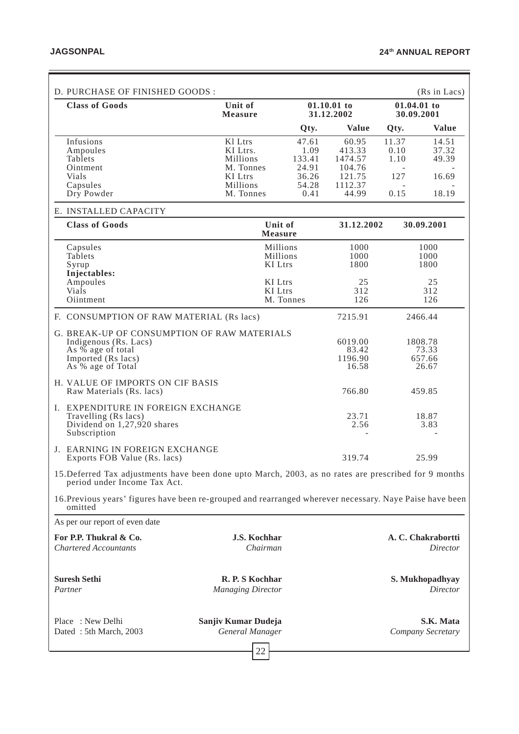Ξ

| D. PURCHASE OF FINISHED GOODS:                                                                                                                                                   |                                                                                         |                                                                            |                                                                    |                                      | (Rs in Lacs)                                   |
|----------------------------------------------------------------------------------------------------------------------------------------------------------------------------------|-----------------------------------------------------------------------------------------|----------------------------------------------------------------------------|--------------------------------------------------------------------|--------------------------------------|------------------------------------------------|
| <b>Class of Goods</b>                                                                                                                                                            | Unit of<br><b>Measure</b>                                                               |                                                                            | 01.10.01 to<br>31.12.2002                                          |                                      | 01.04.01 to<br>30.09.2001                      |
|                                                                                                                                                                                  |                                                                                         | Qty.                                                                       | <b>Value</b>                                                       | Qty.                                 | <b>Value</b>                                   |
| Infusions<br>Ampoules<br>Tablets<br>Ointment<br>Vials<br>Capsules<br>Dry Powder                                                                                                  | Kl Ltrs<br>KI Ltrs.<br>Millions<br>M. Tonnes<br><b>KI</b> Ltrs<br>Millions<br>M. Tonnes | 47.61<br>1.09<br>133.41<br>24.91<br>36.26<br>54.28<br>0.41                 | 60.95<br>413.33<br>1474.57<br>104.76<br>121.75<br>1112.37<br>44.99 | 11.37<br>0.10<br>1.10<br>127<br>0.15 | 14.51<br>37.32<br>49.39<br>16.69<br>18.19      |
| E. INSTALLED CAPACITY                                                                                                                                                            |                                                                                         |                                                                            |                                                                    |                                      |                                                |
| <b>Class of Goods</b>                                                                                                                                                            |                                                                                         | Unit of<br><b>Measure</b>                                                  | 31.12.2002                                                         |                                      | 30.09.2001                                     |
| Capsules<br>Tablets<br>Syrup<br>Injectables:<br>Ampoules<br>Vials                                                                                                                |                                                                                         | Millions<br>Millions<br><b>KI</b> Ltrs<br><b>KI</b> Ltrs<br><b>KI</b> Ltrs | 1000<br>1000<br>1800<br>25<br>312                                  |                                      | 1000<br>1000<br>1800<br>25<br>312              |
| Oiintment                                                                                                                                                                        |                                                                                         | M. Tonnes                                                                  | 126                                                                |                                      | 126                                            |
| F. CONSUMPTION OF RAW MATERIAL (Rs lacs)<br>G. BREAK-UP OF CONSUMPTION OF RAW MATERIALS<br>Indigenous (Rs. Lacs)<br>As % age of total<br>Imported (Rs lacs)<br>As % age of Total |                                                                                         |                                                                            | 7215.91<br>6019.00<br>83.42<br>1196.90<br>16.58                    |                                      | 2466.44<br>1808.78<br>73.33<br>657.66<br>26.67 |
| H. VALUE OF IMPORTS ON CIF BASIS<br>Raw Materials (Rs. lacs)                                                                                                                     |                                                                                         |                                                                            | 766.80                                                             |                                      | 459.85                                         |
| I. EXPENDITURE IN FOREIGN EXCHANGE<br>Travelling (Rs lacs)<br>Dividend on 1,27,920 shares<br>Subscription                                                                        |                                                                                         |                                                                            | 23.71<br>2.56                                                      |                                      | 18.87<br>3.83                                  |
| J. EARNING IN FOREIGN EXCHANGE<br>Exports FOB Value (Rs. lacs)                                                                                                                   |                                                                                         |                                                                            | 319.74                                                             |                                      | 25.99                                          |
| 15. Deferred Tax adjustments have been done upto March, 2003, as no rates are prescribed for 9 months<br>period under Income Tax Act.                                            |                                                                                         |                                                                            |                                                                    |                                      |                                                |
| 16. Previous years' figures have been re-grouped and rearranged wherever necessary. Naye Paise have been<br>omitted                                                              |                                                                                         |                                                                            |                                                                    |                                      |                                                |
| As per our report of even date                                                                                                                                                   |                                                                                         |                                                                            |                                                                    |                                      |                                                |
| For P.P. Thukral & Co.<br><b>Chartered Accountants</b>                                                                                                                           | <b>J.S. Kochhar</b><br>Chairman                                                         |                                                                            |                                                                    |                                      | A. C. Chakrabortti<br><b>Director</b>          |
| <b>Suresh Sethi</b><br>Partner                                                                                                                                                   | R. P. S Kochhar<br><b>Managing Director</b>                                             |                                                                            |                                                                    |                                      | S. Mukhopadhyay<br>Director                    |
| Place: New Delhi<br>Dated: 5th March, 2003                                                                                                                                       | Sanjiv Kumar Dudeja<br>General Manager<br>22                                            |                                                                            |                                                                    |                                      | S.K. Mata<br>Company Secretary                 |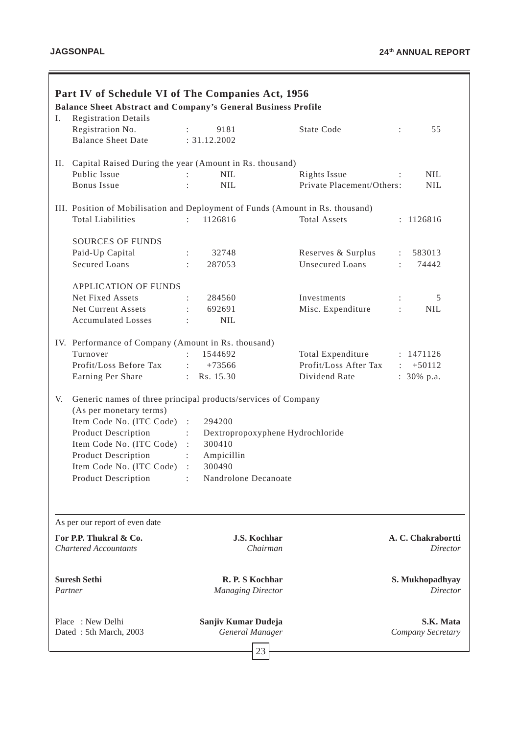| I.                                         | Part IV of Schedule VI of The Companies Act, 1956<br><b>Balance Sheet Abstract and Company's General Business Profile</b><br><b>Registration Details</b> |                                                                   |                                           |                                                  |
|--------------------------------------------|----------------------------------------------------------------------------------------------------------------------------------------------------------|-------------------------------------------------------------------|-------------------------------------------|--------------------------------------------------|
|                                            | Registration No.<br><b>Balance Sheet Date</b>                                                                                                            | 9181<br>: 31.12.2002                                              | <b>State Code</b>                         | 55<br>÷                                          |
|                                            |                                                                                                                                                          |                                                                   |                                           |                                                  |
| П.                                         | Capital Raised During the year (Amount in Rs. thousand)<br>Public Issue                                                                                  |                                                                   |                                           |                                                  |
|                                            | <b>Bonus</b> Issue                                                                                                                                       | <b>NIL</b><br><b>NIL</b>                                          | Rights Issue<br>Private Placement/Others: | <b>NIL</b><br>$\ddot{\phantom{a}}$<br><b>NIL</b> |
|                                            |                                                                                                                                                          |                                                                   |                                           |                                                  |
|                                            | III. Position of Mobilisation and Deployment of Funds (Amount in Rs. thousand)                                                                           |                                                                   |                                           |                                                  |
|                                            | <b>Total Liabilities</b>                                                                                                                                 | 1126816<br>t in                                                   | <b>Total Assets</b>                       | : 1126816                                        |
|                                            | <b>SOURCES OF FUNDS</b>                                                                                                                                  |                                                                   |                                           |                                                  |
|                                            | Paid-Up Capital                                                                                                                                          | 32748                                                             | Reserves & Surplus                        | 583013<br>$\mathbb{Z}^{\mathbb{Z}}$              |
|                                            | <b>Secured Loans</b>                                                                                                                                     | 287053                                                            | Unsecured Loans                           | 74442<br>$\mathbb{R}^{\mathbb{Z}}$               |
|                                            |                                                                                                                                                          |                                                                   |                                           |                                                  |
|                                            | <b>APPLICATION OF FUNDS</b>                                                                                                                              |                                                                   |                                           |                                                  |
|                                            | Net Fixed Assets                                                                                                                                         | 284560                                                            | Investments                               | 5                                                |
|                                            | Net Current Assets                                                                                                                                       | 692691                                                            | Misc. Expenditure                         | <b>NIL</b>                                       |
|                                            | <b>Accumulated Losses</b>                                                                                                                                | <b>NIL</b>                                                        |                                           |                                                  |
|                                            | IV. Performance of Company (Amount in Rs. thousand)                                                                                                      |                                                                   |                                           |                                                  |
|                                            | Turnover                                                                                                                                                 | 1544692                                                           | Total Expenditure                         | : 1471126                                        |
|                                            | Profit/Loss Before Tax                                                                                                                                   | $+73566$<br>$\ddot{\cdot}$                                        | Profit/Loss After Tax                     | $\div$ +50112                                    |
|                                            | Earning Per Share                                                                                                                                        | Rs. 15.30<br>$\mathbb{R}^{\mathbb{Z}}$                            | Dividend Rate                             | : $30\%$ p.a.                                    |
| V.                                         | Generic names of three principal products/services of Company<br>(As per monetary terms)                                                                 |                                                                   |                                           |                                                  |
|                                            | Item Code No. (ITC Code) :                                                                                                                               | 294200                                                            |                                           |                                                  |
|                                            | <b>Product Description</b>                                                                                                                               | Dextropropoxyphene Hydrochloride<br>$\mathbb{Z}^{\mathbb{Z}^n}$ . |                                           |                                                  |
|                                            | Item Code No. (ITC Code)                                                                                                                                 | 300410<br>$\ddot{\cdot}$                                          |                                           |                                                  |
|                                            | <b>Product Description</b><br>Item Code No. (ITC Code)                                                                                                   | Ampicillin<br>$\ddot{\phantom{a}}$<br>300490                      |                                           |                                                  |
|                                            | <b>Product Description</b>                                                                                                                               | Nandrolone Decanoate<br>$\sim$                                    |                                           |                                                  |
|                                            |                                                                                                                                                          |                                                                   |                                           |                                                  |
|                                            | As per our report of even date                                                                                                                           |                                                                   |                                           |                                                  |
|                                            | For P.P. Thukral & Co.<br><b>Chartered Accountants</b>                                                                                                   | <b>J.S. Kochhar</b><br>Chairman                                   |                                           | A. C. Chakrabortti<br><b>Director</b>            |
|                                            | <b>Suresh Sethi</b><br>Partner                                                                                                                           | R. P. S Kochhar<br><b>Managing Director</b>                       |                                           | S. Mukhopadhyay<br>Director                      |
| Place: New Delhi<br>Dated: 5th March, 2003 |                                                                                                                                                          | Sanjiv Kumar Dudeja<br>General Manager                            |                                           | S.K. Mata<br>Company Secretary                   |
|                                            |                                                                                                                                                          | 23                                                                |                                           |                                                  |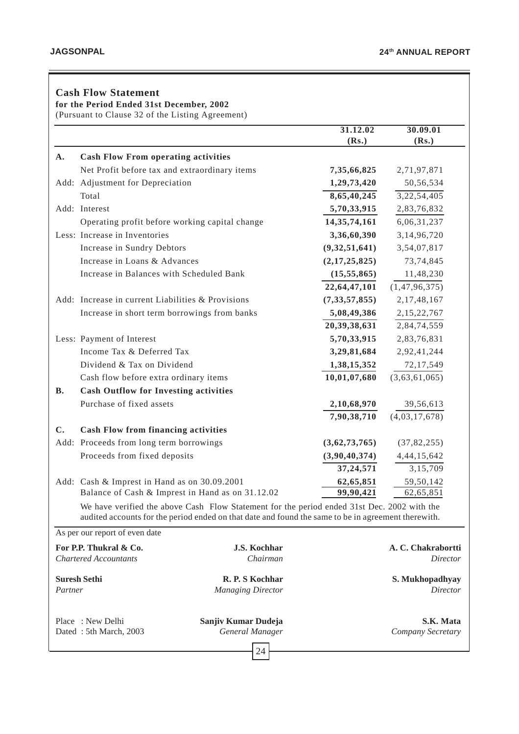# **Cash Flow Statement**

**for the Period Ended 31st December, 2002**

(Pursuant to Clause 32 of the Listing Agreement)

|           |                                                        |                                                                                                                                                                                                    | 31.12.02<br>(Rs.) | 30.09.01<br>(Rs.)                     |
|-----------|--------------------------------------------------------|----------------------------------------------------------------------------------------------------------------------------------------------------------------------------------------------------|-------------------|---------------------------------------|
| A.        | <b>Cash Flow From operating activities</b>             |                                                                                                                                                                                                    |                   |                                       |
|           | Net Profit before tax and extraordinary items          |                                                                                                                                                                                                    | 7,35,66,825       | 2,71,97,871                           |
|           | Add: Adjustment for Depreciation                       |                                                                                                                                                                                                    | 1,29,73,420       | 50,56,534                             |
|           | Total                                                  |                                                                                                                                                                                                    | 8,65,40,245       | 3,22,54,405                           |
|           | Add: Interest                                          |                                                                                                                                                                                                    | 5,70,33,915       | 2,83,76,832                           |
|           | Operating profit before working capital change         |                                                                                                                                                                                                    | 14, 35, 74, 161   | 6,06,31,237                           |
|           | Less: Increase in Inventories                          |                                                                                                                                                                                                    | 3,36,60,390       | 3,14,96,720                           |
|           | Increase in Sundry Debtors                             |                                                                                                                                                                                                    | (9, 32, 51, 641)  | 3,54,07,817                           |
|           | Increase in Loans & Advances                           |                                                                                                                                                                                                    | (2,17,25,825)     | 73,74,845                             |
|           | Increase in Balances with Scheduled Bank               |                                                                                                                                                                                                    | (15, 55, 865)     | 11,48,230                             |
|           |                                                        |                                                                                                                                                                                                    | 22,64,47,101      | (1, 47, 96, 375)                      |
|           | Add: Increase in current Liabilities & Provisions      |                                                                                                                                                                                                    | (7, 33, 57, 855)  | 2, 17, 48, 167                        |
|           | Increase in short term borrowings from banks           |                                                                                                                                                                                                    | 5,08,49,386       | 2, 15, 22, 767                        |
|           |                                                        |                                                                                                                                                                                                    | 20,39,38,631      | 2,84,74,559                           |
|           | Less: Payment of Interest                              |                                                                                                                                                                                                    | 5,70,33,915       | 2,83,76,831                           |
|           | Income Tax & Deferred Tax                              |                                                                                                                                                                                                    | 3,29,81,684       | 2,92,41,244                           |
|           | Dividend & Tax on Dividend                             |                                                                                                                                                                                                    | 1,38,15,352       | 72,17,549                             |
|           | Cash flow before extra ordinary items                  |                                                                                                                                                                                                    | 10,01,07,680      | (3,63,61,065)                         |
| <b>B.</b> | <b>Cash Outflow for Investing activities</b>           |                                                                                                                                                                                                    |                   |                                       |
|           | Purchase of fixed assets                               |                                                                                                                                                                                                    | 2,10,68,970       | 39,56,613                             |
|           |                                                        |                                                                                                                                                                                                    | 7,90,38,710       | (4,03,17,678)                         |
| C.        | <b>Cash Flow from financing activities</b>             |                                                                                                                                                                                                    |                   |                                       |
|           | Add: Proceeds from long term borrowings                |                                                                                                                                                                                                    | (3,62,73,765)     | (37, 82, 255)                         |
|           | Proceeds from fixed deposits                           |                                                                                                                                                                                                    | (3,90,40,374)     | 4, 44, 15, 642                        |
|           |                                                        |                                                                                                                                                                                                    | 37, 24, 571       | 3,15,709                              |
|           | Add: Cash & Imprest in Hand as on 30.09.2001           |                                                                                                                                                                                                    | 62,65,851         | 59,50,142                             |
|           | Balance of Cash & Imprest in Hand as on 31.12.02       |                                                                                                                                                                                                    | 99,90,421         | 62, 65, 851                           |
|           |                                                        | We have verified the above Cash Flow Statement for the period ended 31st Dec. 2002 with the<br>audited accounts for the period ended on that date and found the same to be in agreement therewith. |                   |                                       |
|           | As per our report of even date                         |                                                                                                                                                                                                    |                   |                                       |
|           | For P.P. Thukral & Co.<br><b>Chartered Accountants</b> | <b>J.S. Kochhar</b><br>Chairman                                                                                                                                                                    |                   | A. C. Chakrabortti<br><i>Director</i> |
| Partner   | <b>Suresh Sethi</b>                                    | R. P. S Kochhar<br><b>Managing Director</b>                                                                                                                                                        |                   | S. Mukhopadhyay<br>Director           |

Place : New Delhi **Sanjiv Kumar Dudeja S.K. Mata S.K. Mata Dated** : 5th March, 2003 *General Manager Company Secretary* Dated : 5th March, 2003 *General Manager Company Secretary*